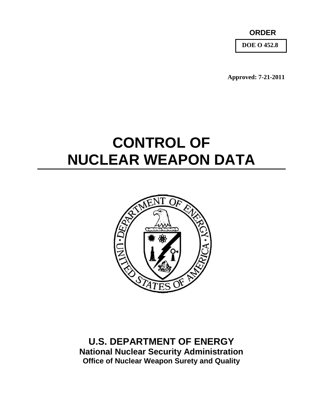**ORDER**

**DOE O 452.8**

**Approved: 7-21-2011**

# **CONTROL OF NUCLEAR WEAPON DATA**



**U.S. DEPARTMENT OF ENERGY National Nuclear Security Administration Office of Nuclear Weapon Surety and Quality**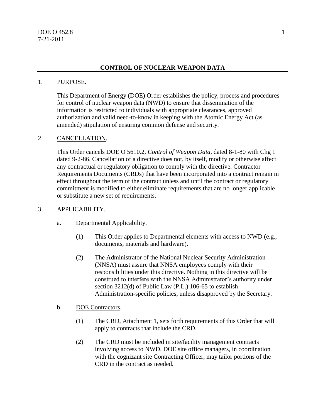## **CONTROL OF NUCLEAR WEAPON DATA**

#### 1. PURPOSE.

This Department of Energy (DOE) Order establishes the policy, process and procedures for control of nuclear weapon data (NWD) to ensure that dissemination of the information is restricted to individuals with appropriate clearances, approved authorization and valid need-to-know in keeping with the Atomic Energy Act (as amended) stipulation of ensuring common defense and security.

## 2. CANCELLATION.

This Order cancels DOE O 5610.2, *Control of Weapon Data*, dated 8-1-80 with Chg 1 dated 9-2-86. Cancellation of a directive does not, by itself, modify or otherwise affect any contractual or regulatory obligation to comply with the directive. Contractor Requirements Documents (CRDs) that have been incorporated into a contract remain in effect throughout the term of the contract unless and until the contract or regulatory commitment is modified to either eliminate requirements that are no longer applicable or substitute a new set of requirements.

#### 3. APPLICABILITY.

- a. Departmental Applicability.
	- (1) This Order applies to Departmental elements with access to NWD (e.g., documents, materials and hardware).
	- (2) The Administrator of the National Nuclear Security Administration (NNSA) must assure that NNSA employees comply with their responsibilities under this directive. Nothing in this directive will be construed to interfere with the NNSA Administrator's authority under section 3212(d) of Public Law (P.L.) 106-65 to establish Administration-specific policies, unless disapproved by the Secretary.

#### b. DOE Contractors.

- (1) The CRD, Attachment 1, sets forth requirements of this Order that will apply to contracts that include the CRD.
- (2) The CRD must be included in site/facility management contracts involving access to NWD. DOE site office managers, in coordination with the cognizant site Contracting Officer, may tailor portions of the CRD in the contract as needed.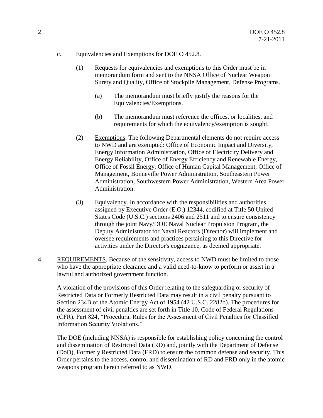#### c. Equivalencies and Exemptions for DOE O 452.8.

- (1) Requests for equivalencies and exemptions to this Order must be in memorandum form and sent to the NNSA Office of Nuclear Weapon Surety and Quality, Office of Stockpile Management, Defense Programs.
	- (a) The memorandum must briefly justify the reasons for the Equivalencies/Exemptions.
	- (b) The memorandum must reference the offices, or localities, and requirements for which the equivalency/exemption is sought.
- (2) Exemptions. The following Departmental elements do not require access to NWD and are exempted: Office of Economic Impact and Diversity, Energy Information Administration, Office of Electricity Delivery and Energy Reliability, Office of Energy Efficiency and Renewable Energy, Office of Fossil Energy, Office of Human Capital Management, Office of Management, Bonneville Power Administration, Southeastern Power Administration, Southwestern Power Administration, Western Area Power Administration.
- (3) Equivalency. In accordance with the responsibilities and authorities assigned by Executive Order (E.O.) 12344, codified at Title 50 United States Code (U.S.C.) sections 2406 and 2511 and to ensure consistency through the joint Navy/DOE Naval Nuclear Propulsion Program, the Deputy Administrator for Naval Reactors (Director) will implement and oversee requirements and practices pertaining to this Directive for activities under the Director's cognizance, as deemed appropriate.
- 4. REQUIREMENTS. Because of the sensitivity, access to NWD must be limited to those who have the appropriate clearance and a valid need-to-know to perform or assist in a lawful and authorized government function.

A violation of the provisions of this Order relating to the safeguarding or security of Restricted Data or Formerly Restricted Data may result in a civil penalty pursuant to Section 234B of the Atomic Energy Act of 1954 (42 U.S.C. 2282b). The procedures for the assessment of civil penalties are set forth in Title 10, Code of Federal Regulations (CFR), Part 824, "Procedural Rules for the Assessment of Civil Penalties for Classified Information Security Violations."

The DOE (including NNSA) is responsible for establishing policy concerning the control and dissemination of Restricted Data (RD) and, jointly with the Department of Defense (DoD), Formerly Restricted Data (FRD) to ensure the common defense and security. This Order pertains to the access, control and dissemination of RD and FRD only in the atomic weapons program herein referred to as NWD.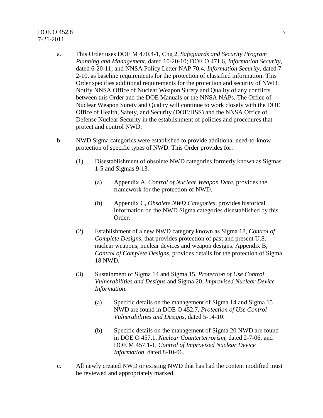## $\overline{DOE}$  O 452.8 3 7-21-2011

- a. This Order uses DOE M 470.4-1, Chg 2, *Safeguards and Security Program Planning and Management*, dated 10-20-10; DOE O 471.6, *Information Security*, dated 6-20-11; and NNSA Policy Letter NAP 70.4, *Information Security*, dated 7- 2-10, as baseline requirements for the protection of classified information. This Order specifies additional requirements for the protection and security of NWD. Notify NNSA Office of Nuclear Weapon Surety and Quality of any conflicts between this Order and the DOE Manuals or the NNSA NAPs. The Office of Nuclear Weapon Surety and Quality will continue to work closely with the DOE Office of Health, Safety, and Security (DOE/HSS) and the NNSA Office of Defense Nuclear Security in the establishment of policies and procedures that protect and control NWD.
- b. NWD Sigma categories were established to provide additional need-to-know protection of specific types of NWD. This Order provides for:
	- (1) Disestablishment of obsolete NWD categories formerly known as Sigmas 1-5 and Sigmas 9-13.
		- (a) Appendix A, *Control of Nuclear Weapon Data,* provides the framework for the protection of NWD.
		- (b) Appendix C, *Obsolete NWD Categories*, provides historical information on the NWD Sigma categories disestablished by this Order.
	- (2) Establishment of a new NWD category known as Sigma 18, *Control of Complete Designs*, that provides protection of past and present U.S. nuclear weapons, nuclear devices and weapon designs. Appendix B, *Control of Complete Designs*, provides details for the protection of Sigma 18 NWD.
	- (3) Sustainment of Sigma 14 and Sigma 15, *Protection of Use Control Vulnerabilities and Designs* and Sigma 20, *Improvised Nuclear Device Information.*
		- (a) Specific details on the management of Sigma 14 and Sigma 15 NWD are found in DOE O 452.7, *Protection of Use Control Vulnerabilities and Designs*, dated 5-14-10.
		- (b) Specific details on the management of Sigma 20 NWD are found in DOE O 457.1, *Nuclear Counterterrorism*, dated 2-7-06, and DOE M 457.1-1, *Control of Improvised Nuclear Device Information*, dated 8-10-06.
- c. All newly created NWD or existing NWD that has had the content modified must be reviewed and appropriately marked.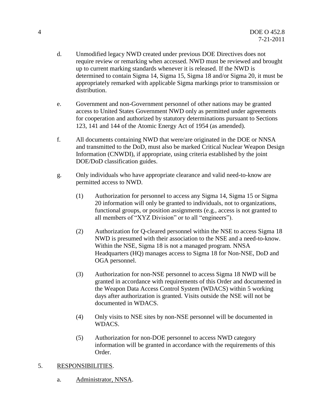- d. Unmodified legacy NWD created under previous DOE Directives does not require review or remarking when accessed. NWD must be reviewed and brought up to current marking standards whenever it is released. If the NWD is determined to contain Sigma 14, Sigma 15, Sigma 18 and/or Sigma 20, it must be appropriately remarked with applicable Sigma markings prior to transmission or distribution.
- e. Government and non-Government personnel of other nations may be granted access to United States Government NWD only as permitted under agreements for cooperation and authorized by statutory determinations pursuant to Sections 123, 141 and 144 of the Atomic Energy Act of 1954 (as amended).
- f. All documents containing NWD that were/are originated in the DOE or NNSA and transmitted to the DoD, must also be marked Critical Nuclear Weapon Design Information (CNWDI), if appropriate, using criteria established by the joint DOE/DoD classification guides.
- g. Only individuals who have appropriate clearance and valid need-to-know are permitted access to NWD.
	- (1) Authorization for personnel to access any Sigma 14, Sigma 15 or Sigma 20 information will only be granted to individuals, not to organizations, functional groups, or position assignments (e.g., access is not granted to all members of "XYZ Division" or to all "engineers").
	- (2) Authorization for Q-cleared personnel within the NSE to access Sigma 18 NWD is presumed with their association to the NSE and a need-to-know. Within the NSE, Sigma 18 is not a managed program. NNSA Headquarters (HQ) manages access to Sigma 18 for Non-NSE, DoD and OGA personnel.
	- (3) Authorization for non-NSE personnel to access Sigma 18 NWD will be granted in accordance with requirements of this Order and documented in the Weapon Data Access Control System (WDACS) within 5 working days after authorization is granted. Visits outside the NSE will not be documented in WDACS.
	- (4) Only visits to NSE sites by non-NSE personnel will be documented in WDACS.
	- (5) Authorization for non-DOE personnel to access NWD category information will be granted in accordance with the requirements of this Order.

## 5. RESPONSIBILITIES.

a. Administrator, NNSA.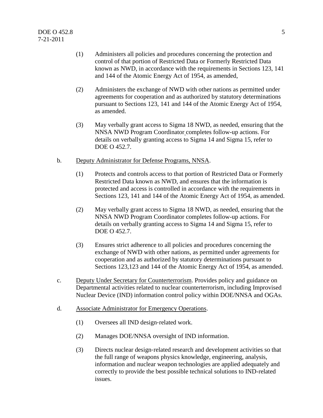- (1) Administers all policies and procedures concerning the protection and control of that portion of Restricted Data or Formerly Restricted Data known as NWD, in accordance with the requirements in Sections 123, 141 and 144 of the Atomic Energy Act of 1954, as amended,
- (2) Administers the exchange of NWD with other nations as permitted under agreements for cooperation and as authorized by statutory determinations pursuant to Sections 123, 141 and 144 of the Atomic Energy Act of 1954, as amended.
- (3) May verbally grant access to Sigma 18 NWD, as needed, ensuring that the NNSA NWD Program Coordinator completes follow-up actions. For details on verbally granting access to Sigma 14 and Sigma 15, refer to DOE O 452.7.
- b. Deputy Administrator for Defense Programs, NNSA.
	- (1) Protects and controls access to that portion of Restricted Data or Formerly Restricted Data known as NWD, and ensures that the information is protected and access is controlled in accordance with the requirements in Sections 123, 141 and 144 of the Atomic Energy Act of 1954, as amended.
	- (2) May verbally grant access to Sigma 18 NWD, as needed, ensuring that the NNSA NWD Program Coordinator completes follow-up actions. For details on verbally granting access to Sigma 14 and Sigma 15, refer to DOE O 452.7.
	- (3) Ensures strict adherence to all policies and procedures concerning the exchange of NWD with other nations, as permitted under agreements for cooperation and as authorized by statutory determinations pursuant to Sections 123,123 and 144 of the Atomic Energy Act of 1954, as amended.
- c. Deputy Under Secretary for Counterterrorism. Provides policy and guidance on Departmental activities related to nuclear counterterrorism, including Improvised Nuclear Device (IND) information control policy within DOE/NNSA and OGAs.
- d. Associate Administrator for Emergency Operations.
	- (1) Oversees all IND design‐related work.
	- (2) Manages DOE/NNSA oversight of IND information.
	- (3) Directs nuclear design‐related research and development activities so that the full range of weapons physics knowledge, engineering, analysis, information and nuclear weapon technologies are applied adequately and correctly to provide the best possible technical solutions to IND-related issues.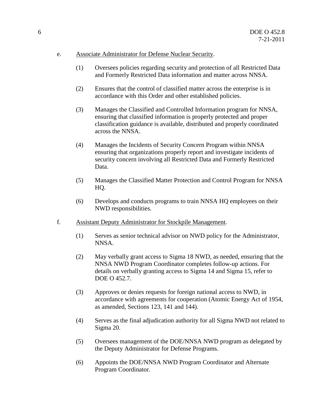#### e. Associate Administrator for Defense Nuclear Security.

- (1) Oversees policies regarding security and protection of all Restricted Data and Formerly Restricted Data information and matter across NNSA.
- (2) Ensures that the control of classified matter across the enterprise is in accordance with this Order and other established policies.
- (3) Manages the Classified and Controlled Information program for NNSA, ensuring that classified information is properly protected and proper classification guidance is available, distributed and properly coordinated across the NNSA.
- (4) Manages the Incidents of Security Concern Program within NNSA ensuring that organizations properly report and investigate incidents of security concern involving all Restricted Data and Formerly Restricted Data.
- (5) Manages the Classified Matter Protection and Control Program for NNSA HQ.
- (6) Develops and conducts programs to train NNSA HQ employees on their NWD responsibilities.
- f. Assistant Deputy Administrator for Stockpile Management.
	- (1) Serves as senior technical advisor on NWD policy for the Administrator, NNSA.
	- (2) May verbally grant access to Sigma 18 NWD, as needed, ensuring that the NNSA NWD Program Coordinator completes follow-up actions. For details on verbally granting access to Sigma 14 and Sigma 15, refer to DOE O 452.7.
	- (3) Approves or denies requests for foreign national access to NWD, in accordance with agreements for cooperation (Atomic Energy Act of 1954, as amended, Sections 123, 141 and 144).
	- (4) Serves as the final adjudication authority for all Sigma NWD not related to Sigma 20.
	- (5) Oversees management of the DOE/NNSA NWD program as delegated by the Deputy Administrator for Defense Programs.
	- (6) Appoints the DOE/NNSA NWD Program Coordinator and Alternate Program Coordinator.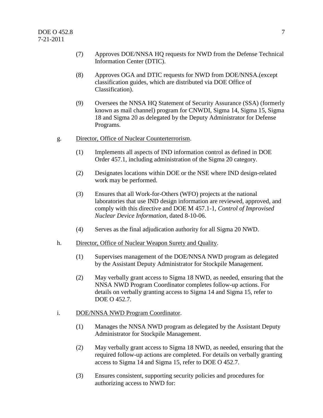- (7) Approves DOE/NNSA HQ requests for NWD from the Defense Technical Information Center (DTIC).
- (8) Approves OGA and DTIC requests for NWD from DOE/NNSA.(except classification guides, which are distributed via DOE Office of Classification).
- (9) Oversees the NNSA HQ Statement of Security Assurance (SSA) (formerly known as mail channel) program for CNWDI, Sigma 14, Sigma 15, Sigma 18 and Sigma 20 as delegated by the Deputy Administrator for Defense Programs.
- g. Director, Office of Nuclear Counterterrorism.
	- (1) Implements all aspects of IND information control as defined in DOE Order 457.1, including administration of the Sigma 20 category.
	- (2) Designates locations within DOE or the NSE where IND design-related work may be performed.
	- (3) Ensures that all Work-for-Others (WFO) projects at the national laboratories that use IND design information are reviewed, approved, and comply with this directive and DOE M 457.1-1, *Control of Improvised Nuclear Device Information*, dated 8-10-06.
	- (4) Serves as the final adjudication authority for all Sigma 20 NWD.
- h. Director, Office of Nuclear Weapon Surety and Quality.
	- (1) Supervises management of the DOE/NNSA NWD program as delegated by the Assistant Deputy Administrator for Stockpile Management.
	- (2) May verbally grant access to Sigma 18 NWD, as needed, ensuring that the NNSA NWD Program Coordinator completes follow-up actions. For details on verbally granting access to Sigma 14 and Sigma 15, refer to DOE O 452.7.

#### i. DOE/NNSA NWD Program Coordinator.

- (1) Manages the NNSA NWD program as delegated by the Assistant Deputy Administrator for Stockpile Management.
- (2) May verbally grant access to Sigma 18 NWD, as needed, ensuring that the required follow-up actions are completed. For details on verbally granting access to Sigma 14 and Sigma 15, refer to DOE O 452.7.
- (3) Ensures consistent, supporting security policies and procedures for authorizing access to NWD for: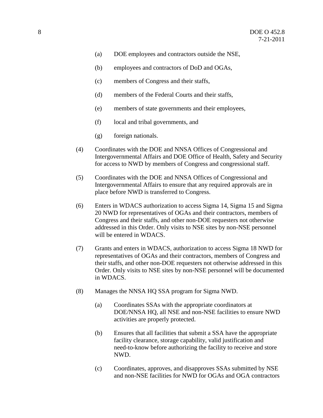- (a) DOE employees and contractors outside the NSE,
- (b) employees and contractors of DoD and OGAs,
- (c) members of Congress and their staffs,
- (d) members of the Federal Courts and their staffs,
- (e) members of state governments and their employees,
- (f) local and tribal governments, and
- (g) foreign nationals.
- (4) Coordinates with the DOE and NNSA Offices of Congressional and Intergovernmental Affairs and DOE Office of Health, Safety and Security for access to NWD by members of Congress and congressional staff.
- (5) Coordinates with the DOE and NNSA Offices of Congressional and Intergovernmental Affairs to ensure that any required approvals are in place before NWD is transferred to Congress.
- (6) Enters in WDACS authorization to access Sigma 14, Sigma 15 and Sigma 20 NWD for representatives of OGAs and their contractors, members of Congress and their staffs, and other non-DOE requesters not otherwise addressed in this Order. Only visits to NSE sites by non-NSE personnel will be entered in WDACS.
- (7) Grants and enters in WDACS, authorization to access Sigma 18 NWD for representatives of OGAs and their contractors, members of Congress and their staffs, and other non-DOE requesters not otherwise addressed in this Order. Only visits to NSE sites by non-NSE personnel will be documented in WDACS.
- (8) Manages the NNSA HQ SSA program for Sigma NWD.
	- (a) Coordinates SSAs with the appropriate coordinators at DOE/NNSA HQ, all NSE and non-NSE facilities to ensure NWD activities are properly protected.
	- (b) Ensures that all facilities that submit a SSA have the appropriate facility clearance, storage capability, valid justification and need-to-know before authorizing the facility to receive and store NWD.
	- (c) Coordinates, approves, and disapproves SSAs submitted by NSE and non-NSE facilities for NWD for OGAs and OGA contractors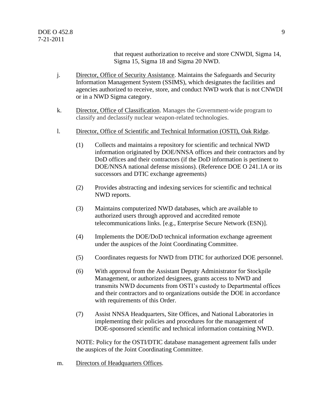that request authorization to receive and store CNWDI, Sigma 14, Sigma 15, Sigma 18 and Sigma 20 NWD.

- j. Director, Office of Security Assistance. Maintains the Safeguards and Security Information Management System (SSIMS), which designates the facilities and agencies authorized to receive, store, and conduct NWD work that is not CNWDI or in a NWD Sigma category.
- k. Director, Office of Classification. Manages the Government-wide program to classify and declassify nuclear weapon-related technologies.
- l. Director, Office of Scientific and Technical Information (OSTI), Oak Ridge.
	- (1) Collects and maintains a repository for scientific and technical NWD information originated by DOE/NNSA offices and their contractors and by DoD offices and their contractors (if the DoD information is pertinent to DOE/NNSA national defense missions). (Reference DOE O 241.1A or its successors and DTIC exchange agreements)
	- (2) Provides abstracting and indexing services for scientific and technical NWD reports.
	- (3) Maintains computerized NWD databases, which are available to authorized users through approved and accredited remote telecommunications links. [e.g., Enterprise Secure Network (ESN)].
	- (4) Implements the DOE/DoD technical information exchange agreement under the auspices of the Joint Coordinating Committee.
	- (5) Coordinates requests for NWD from DTIC for authorized DOE personnel.
	- (6) With approval from the Assistant Deputy Administrator for Stockpile Management, or authorized designees, grants access to NWD and transmits NWD documents from OSTI's custody to Departmental offices and their contractors and to organizations outside the DOE in accordance with requirements of this Order.
	- (7) Assist NNSA Headquarters, Site Offices, and National Laboratories in implementing their policies and procedures for the management of DOE-sponsored scientific and technical information containing NWD.

NOTE: Policy for the OSTI/DTIC database management agreement falls under the auspices of the Joint Coordinating Committee.

m. Directors of Headquarters Offices.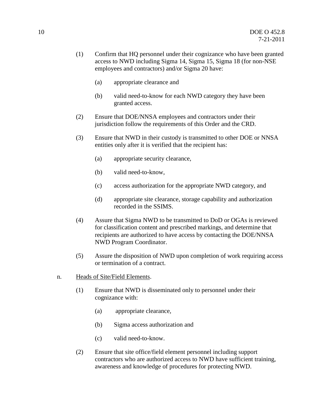- (1) Confirm that HQ personnel under their cognizance who have been granted access to NWD including Sigma 14, Sigma 15, Sigma 18 (for non-NSE employees and contractors) and/or Sigma 20 have:
	- (a) appropriate clearance and
	- (b) valid need-to-know for each NWD category they have been granted access.
- (2) Ensure that DOE/NNSA employees and contractors under their jurisdiction follow the requirements of this Order and the CRD.
- (3) Ensure that NWD in their custody is transmitted to other DOE or NNSA entities only after it is verified that the recipient has:
	- (a) appropriate security clearance,
	- (b) valid need-to-know,
	- (c) access authorization for the appropriate NWD category, and
	- (d) appropriate site clearance, storage capability and authorization recorded in the SSIMS.
- (4) Assure that Sigma NWD to be transmitted to DoD or OGAs is reviewed for classification content and prescribed markings, and determine that recipients are authorized to have access by contacting the DOE/NNSA NWD Program Coordinator.
- (5) Assure the disposition of NWD upon completion of work requiring access or termination of a contract.
- n. Heads of Site/Field Elements.
	- (1) Ensure that NWD is disseminated only to personnel under their cognizance with:
		- (a) appropriate clearance,
		- (b) Sigma access authorization and
		- (c) valid need-to-know.
	- (2) Ensure that site office/field element personnel including support contractors who are authorized access to NWD have sufficient training, awareness and knowledge of procedures for protecting NWD.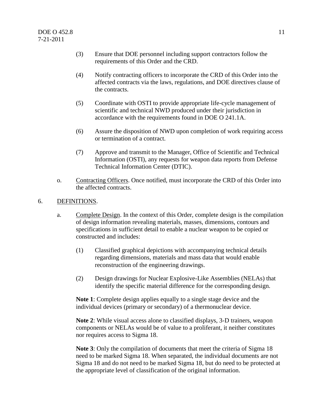- (3) Ensure that DOE personnel including support contractors follow the requirements of this Order and the CRD.
- (4) Notify contracting officers to incorporate the CRD of this Order into the affected contracts via the laws, regulations, and DOE directives clause of the contracts.
- (5) Coordinate with OSTI to provide appropriate life-cycle management of scientific and technical NWD produced under their jurisdiction in accordance with the requirements found in DOE O 241.1A.
- (6) Assure the disposition of NWD upon completion of work requiring access or termination of a contract.
- (7) Approve and transmit to the Manager, Office of Scientific and Technical Information (OSTI), any requests for weapon data reports from Defense Technical Information Center (DTIC).
- o. Contracting Officers. Once notified, must incorporate the CRD of this Order into the affected contracts.

## 6. DEFINITIONS.

- a. Complete Design. In the context of this Order, complete design is the compilation of design information revealing materials, masses, dimensions, contours and specifications in sufficient detail to enable a nuclear weapon to be copied or constructed and includes:
	- (1) Classified graphical depictions with accompanying technical details regarding dimensions, materials and mass data that would enable reconstruction of the engineering drawings.
	- (2) Design drawings for Nuclear Explosive-Like Assemblies (NELAs) that identify the specific material difference for the corresponding design.

**Note 1**: Complete design applies equally to a single stage device and the individual devices (primary or secondary) of a thermonuclear device.

**Note 2**: While visual access alone to classified displays, 3-D trainers, weapon components or NELAs would be of value to a proliferant, it neither constitutes nor requires access to Sigma 18.

**Note 3**: Only the compilation of documents that meet the criteria of Sigma 18 need to be marked Sigma 18. When separated, the individual documents are not Sigma 18 and do not need to be marked Sigma 18, but do need to be protected at the appropriate level of classification of the original information.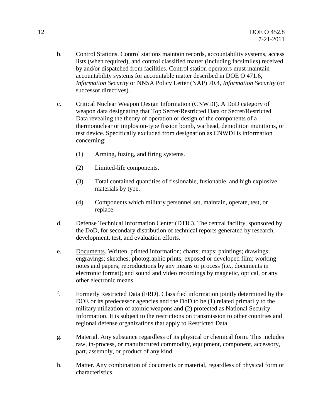- b. Control Stations. Control stations maintain records, accountability systems, access lists (when required), and control classified matter (including facsimiles) received by and/or dispatched from facilities. Control station operators must maintain accountability systems for accountable matter described in DOE O 471.6, *Information Security* or NNSA Policy Letter (NAP) 70.4, *Information Security* (or successor directives).
- c. Critical Nuclear Weapon Design Information (CNWDI). A DoD category of weapon data designating that Top Secret/Restricted Data or Secret/Restricted Data revealing the theory of operation or design of the components of a thermonuclear or implosion-type fission bomb, warhead, demolition munitions, or test device. Specifically excluded from designation as CNWDI is information concerning:
	- (1) Arming, fuzing, and firing systems.
	- (2) Limited-life components.
	- (3) Total contained quantities of fissionable, fusionable, and high explosive materials by type.
	- (4) Components which military personnel set, maintain, operate, test, or replace.
- d. Defense Technical Information Center (DTIC). The central facility, sponsored by the DoD, for secondary distribution of technical reports generated by research, development, test, and evaluation efforts.
- e. Documents. Written, printed information; charts; maps; paintings; drawings; engravings; sketches; photographic prints; exposed or developed film; working notes and papers; reproductions by any means or process (i.e., documents in electronic format); and sound and video recordings by magnetic, optical, or any other electronic means.
- f. Formerly Restricted Data (FRD). Classified information jointly determined by the DOE or its predecessor agencies and the DoD to be (1) related primarily to the military utilization of atomic weapons and (2) protected as National Security Information. It is subject to the restrictions on transmission to other countries and regional defense organizations that apply to Restricted Data.
- g. Material. Any substance regardless of its physical or chemical form. This includes raw, in-process, or manufactured commodity, equipment, component, accessory, part, assembly, or product of any kind.
- h. Matter. Any combination of documents or material, regardless of physical form or characteristics.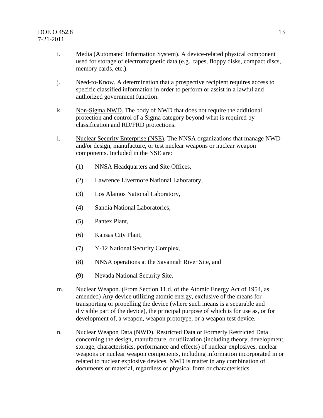- i. Media (Automated Information System). A device-related physical component used for storage of electromagnetic data (e.g., tapes, floppy disks, compact discs, memory cards, etc.).
- j. Need-to-Know. A determination that a prospective recipient requires access to specific classified information in order to perform or assist in a lawful and authorized government function.
- k. Non-Sigma NWD. The body of NWD that does not require the additional protection and control of a Sigma category beyond what is required by classification and RD/FRD protections.
- l. Nuclear Security Enterprise (NSE). The NNSA organizations that manage NWD and/or design, manufacture, or test nuclear weapons or nuclear weapon components. Included in the NSE are:
	- (1) NNSA Headquarters and Site Offices,
	- (2) Lawrence Livermore National Laboratory,
	- (3) Los Alamos National Laboratory,
	- (4) Sandia National Laboratories,
	- (5) Pantex Plant,
	- (6) Kansas City Plant,
	- (7) Y-12 National Security Complex,
	- (8) NNSA operations at the Savannah River Site, and
	- (9) Nevada National Security Site.
- m. Nuclear Weapon. (From Section 11.d. of the Atomic Energy Act of 1954, as amended) Any device utilizing atomic energy, exclusive of the means for transporting or propelling the device (where such means is a separable and divisible part of the device), the principal purpose of which is for use as, or for development of, a weapon, weapon prototype, or a weapon test device.
- n. Nuclear Weapon Data (NWD). Restricted Data or Formerly Restricted Data concerning the design, manufacture, or utilization (including theory, development, storage, characteristics, performance and effects) of nuclear explosives, nuclear weapons or nuclear weapon components, including information incorporated in or related to nuclear explosive devices. NWD is matter in any combination of documents or material, regardless of physical form or characteristics.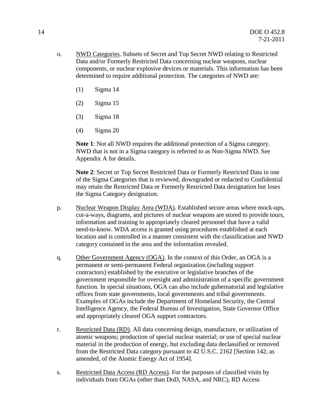- o. NWD Categories. Subsets of Secret and Top Secret NWD relating to Restricted Data and/or Formerly Restricted Data concerning nuclear weapons, nuclear components, or nuclear explosive devices or materials. This information has been determined to require additional protection. The categories of NWD are:
	- (1) Sigma 14
	- (2) Sigma 15
	- (3) Sigma 18
	- (4) Sigma 20

**Note 1**: Not all NWD requires the additional protection of a Sigma category. NWD that is not in a Sigma category is referred to as Non-Sigma NWD. See Appendix A for details.

**Note 2**: Secret or Top Secret Restricted Data or Formerly Restricted Data in one of the Sigma Categories that is reviewed, downgraded or redacted to Confidential may retain the Restricted Data or Formerly Restricted Data designation but loses the Sigma Category designation.

- p. Nuclear Weapon Display Area (WDA). Established secure areas where mock-ups, cut-a-ways, diagrams, and pictures of nuclear weapons are stored to provide tours, information and training to appropriately cleared personnel that have a valid need-to-know. WDA access is granted using procedures established at each location and is controlled in a manner consistent with the classification and NWD category contained in the area and the information revealed.
- q. Other Government Agency (OGA). In the context of this Order, an OGA is a permanent or semi-permanent Federal organization (including support contractors) established by the executive or legislative branches of the government responsible for oversight and administration of a specific government function. In special situations, OGA can also include gubernatorial and legislative offices from state governments, local governments and tribal governments. Examples of OGAs include the Department of Homeland Security, the Central Intelligence Agency, the Federal Bureau of Investigation, State Governor Office and appropriately cleared OGA support contractors.
- r. Restricted Data (RD). All data concerning design, manufacture, or utilization of atomic weapons; production of special nuclear material; or use of special nuclear material in the production of energy, but excluding data declassified or removed from the Restricted Data category pursuant to 42 U.S.C. 2162 [Section 142, as amended, of the Atomic Energy Act of 1954].
- s. Restricted Data Access (RD Access). For the purposes of classified visits by individuals from OGAs (other than DoD, NASA, and NRC), RD Access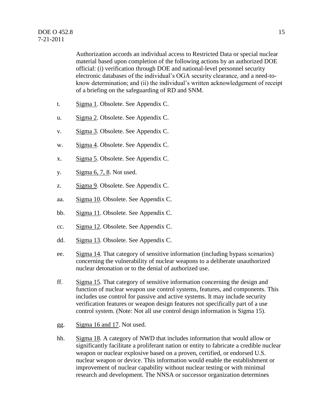Authorization accords an individual access to Restricted Data or special nuclear material based upon completion of the following actions by an authorized DOE official: (i) verification through DOE and national-level personnel security electronic databases of the individual's OGA security clearance, and a need-toknow determination; and (ii) the individual's written acknowledgement of receipt of a briefing on the safeguarding of RD and SNM.

- t. Sigma 1. Obsolete. See Appendix C.
- u. Sigma 2. Obsolete. See Appendix C.
- v. Sigma 3. Obsolete. See Appendix C.
- w. Sigma 4. Obsolete. See Appendix C.
- x. Sigma 5. Obsolete. See Appendix C.
- y. Sigma 6, 7, 8. Not used.
- z. Sigma 9. Obsolete. See Appendix C.
- aa. Sigma 10. Obsolete. See Appendix C.
- bb. Sigma 11. Obsolete. See Appendix C.
- cc. Sigma 12. Obsolete. See Appendix C.
- dd. Sigma 13. Obsolete. See Appendix C.
- ee. Sigma 14. That category of sensitive information (including bypass scenarios) concerning the vulnerability of nuclear weapons to a deliberate unauthorized nuclear detonation or to the denial of authorized use.
- ff. Sigma 15. That category of sensitive information concerning the design and function of nuclear weapon use control systems, features, and components. This includes use control for passive and active systems. It may include security verification features or weapon design features not specifically part of a use control system. (Note: Not all use control design information is Sigma 15).
- gg. Sigma 16 and 17. Not used.
- hh. Sigma 18. A category of NWD that includes information that would allow or significantly facilitate a proliferant nation or entity to fabricate a credible nuclear weapon or nuclear explosive based on a proven, certified, or endorsed U.S. nuclear weapon or device. This information would enable the establishment or improvement of nuclear capability without nuclear testing or with minimal research and development. The NNSA or successor organization determines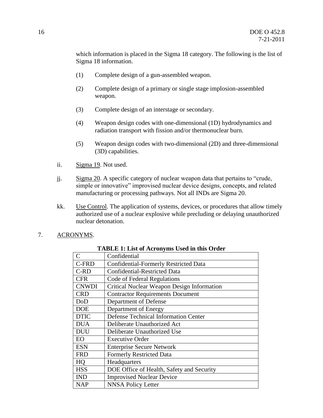which information is placed in the Sigma 18 category. The following is the list of Sigma 18 information.

- (1) Complete design of a gun-assembled weapon.
- (2) Complete design of a primary or single stage implosion-assembled weapon.
- (3) Complete design of an interstage or secondary.
- (4) Weapon design codes with one-dimensional (1D) hydrodynamics and radiation transport with fission and/or thermonuclear burn.
- (5) Weapon design codes with two-dimensional (2D) and three-dimensional (3D) capabilities.
- ii. Sigma 19. Not used.
- jj. Sigma 20. A specific category of nuclear weapon data that pertains to "crude, simple or innovative" improvised nuclear device designs, concepts, and related manufacturing or processing pathways. Not all INDs are Sigma 20.
- kk. Use Control. The application of systems, devices, or procedures that allow timely authorized use of a nuclear explosive while precluding or delaying unauthorized nuclear detonation.
- 7. ACRONYMS.

| $\mathcal{C}$ | Confidential                                      |
|---------------|---------------------------------------------------|
| C-FRD         | <b>Confidential-Formerly Restricted Data</b>      |
| $C-RD$        | <b>Confidential-Restricted Data</b>               |
| <b>CFR</b>    | Code of Federal Regulations                       |
| <b>CNWDI</b>  | <b>Critical Nuclear Weapon Design Information</b> |
| <b>CRD</b>    | <b>Contractor Requirements Document</b>           |
| DoD           | Department of Defense                             |
| <b>DOE</b>    | Department of Energy                              |
| <b>DTIC</b>   | <b>Defense Technical Information Center</b>       |
| <b>DUA</b>    | Deliberate Unauthorized Act                       |
| <b>DUU</b>    | Deliberate Unauthorized Use                       |
| EO            | <b>Executive Order</b>                            |
| <b>ESN</b>    | <b>Enterprise Secure Network</b>                  |
| <b>FRD</b>    | <b>Formerly Restricted Data</b>                   |
| HQ            | Headquarters                                      |
| <b>HSS</b>    | DOE Office of Health, Safety and Security         |
| <b>IND</b>    | <b>Improvised Nuclear Device</b>                  |
| <b>NAP</b>    | <b>NNSA Policy Letter</b>                         |

#### **TABLE 1: List of Acronyms Used in this Order**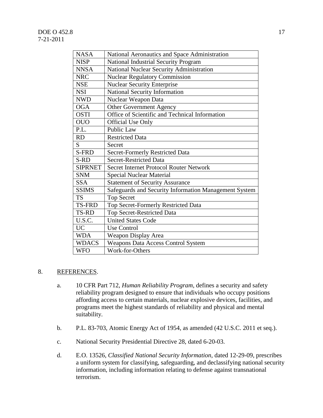## DOE O 452.8 17 7-21-2011

| <b>NASA</b>    | National Aeronautics and Space Administration         |
|----------------|-------------------------------------------------------|
| <b>NISP</b>    | National Industrial Security Program                  |
| <b>NNSA</b>    | National Nuclear Security Administration              |
| <b>NRC</b>     | <b>Nuclear Regulatory Commission</b>                  |
| <b>NSE</b>     | <b>Nuclear Security Enterprise</b>                    |
| <b>NSI</b>     | National Security Information                         |
| <b>NWD</b>     | Nuclear Weapon Data                                   |
| <b>OGA</b>     | Other Government Agency                               |
| <b>OSTI</b>    | Office of Scientific and Technical Information        |
| <b>OUO</b>     | <b>Official Use Only</b>                              |
| P.L.           | Public Law                                            |
| <b>RD</b>      | <b>Restricted Data</b>                                |
| S.             | Secret                                                |
| S-FRD          | <b>Secret-Formerly Restricted Data</b>                |
| S-RD           | <b>Secret-Restricted Data</b>                         |
| <b>SIPRNET</b> | <b>Secret Internet Protocol Router Network</b>        |
| <b>SNM</b>     | <b>Special Nuclear Material</b>                       |
| <b>SSA</b>     | <b>Statement of Security Assurance</b>                |
| <b>SSIMS</b>   | Safeguards and Security Information Management System |
| <b>TS</b>      | <b>Top Secret</b>                                     |
| <b>TS-FRD</b>  | Top Secret-Formerly Restricted Data                   |
| <b>TS-RD</b>   | Top Secret-Restricted Data                            |
| U.S.C.         | <b>United States Code</b>                             |
| UC             | <b>Use Control</b>                                    |
| <b>WDA</b>     | Weapon Display Area                                   |
| <b>WDACS</b>   | <b>Weapons Data Access Control System</b>             |
| <b>WFO</b>     | Work-for-Others                                       |

## 8. REFERENCES.

- a. 10 CFR Part 712, *Human Reliability Program*, defines a security and safety reliability program designed to ensure that individuals who occupy positions affording access to certain materials, nuclear explosive devices, facilities, and programs meet the highest standards of reliability and physical and mental suitability.
- b. P.L. 83-703, Atomic Energy Act of 1954, as amended (42 U.S.C. 2011 et seq.).
- c. National Security Presidential Directive 28, dated 6-20-03.
- d. E.O. 13526, *Classified National Security Information*, dated 12-29-09, prescribes a uniform system for classifying, safeguarding, and declassifying national security information, including information relating to defense against transnational terrorism.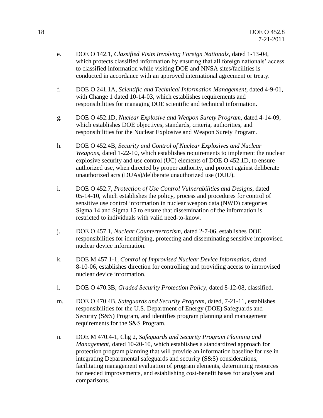- e. DOE O 142.1, *Classified Visits Involving Foreign Nationals*, dated 1-13-04, which protects classified information by ensuring that all foreign nationals' access to classified information while visiting DOE and NNSA sites/facilities is conducted in accordance with an approved international agreement or treaty.
- f. DOE O 241.1A, *Scientific and Technical Information Management*, dated 4-9-01, with Change 1 dated 10-14-03, which establishes requirements and responsibilities for managing DOE scientific and technical information.
- g. DOE O 452.1D, *Nuclear Explosive and Weapon Surety Program*, dated 4-14-09, which establishes DOE objectives, standards, criteria, authorities, and responsibilities for the Nuclear Explosive and Weapon Surety Program.
- h. DOE O 452.4B, *Security and Control of Nuclear Explosives and Nuclear Weapons*, dated 1-22-10, which establishes requirements to implement the nuclear explosive security and use control (UC) elements of DOE O 452.1D, to ensure authorized use, when directed by proper authority, and protect against deliberate unauthorized acts (DUAs)/deliberate unauthorized use (DUU).
- i. DOE O 452.7, *Protection of Use Control Vulnerabilities and Designs*, dated 05-14-10, which establishes the policy, process and procedures for control of sensitive use control information in nuclear weapon data (NWD) categories Sigma 14 and Sigma 15 to ensure that dissemination of the information is restricted to individuals with valid need-to-know.
- j. DOE O 457.1, *Nuclear Counterterrorism*, dated 2-7-06, establishes DOE responsibilities for identifying, protecting and disseminating sensitive improvised nuclear device information.
- k. DOE M 457.1-1, *Control of Improvised Nuclear Device Information*, dated 8-10-06, establishes direction for controlling and providing access to improvised nuclear device information.
- l. DOE O 470.3B, *Graded Security Protection Policy*, dated 8-12-08, classified.
- m. DOE O 470.4B, *Safeguards and Security Program*, dated, 7-21-11, establishes responsibilities for the U.S. Department of Energy (DOE) Safeguards and Security (S&S) Program, and identifies program planning and management requirements for the S&S Program.
- n. DOE M 470.4-1, Chg 2, *Safeguards and Security Program Planning and Management,* dated 10-20-10, which establishes a standardized approach for protection program planning that will provide an information baseline for use in integrating Departmental safeguards and security (S&S) considerations, facilitating management evaluation of program elements, determining resources for needed improvements, and establishing cost-benefit bases for analyses and comparisons.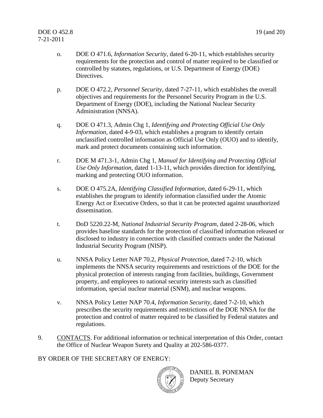- o. DOE O 471.6, *Information Security*, dated 6-20-11, which establishes security requirements for the protection and control of matter required to be classified or controlled by statutes, regulations, or U.S. Department of Energy (DOE) Directives.
- p. DOE O 472.2, *Personnel Security*, dated 7-27-11, which establishes the overall objectives and requirements for the Personnel Security Program in the U.S. Department of Energy (DOE), including the National Nuclear Security Administration (NNSA).
- q. DOE O 471.3, Admin Chg 1, *Identifying and Protecting Official Use Only Information*, dated 4-9-03, which establishes a program to identify certain unclassified controlled information as Official Use Only (OUO) and to identify, mark and protect documents containing such information.
- r. DOE M 471.3-1, Admin Chg 1, *Manual for Identifying and Protecting Official Use Only Information*, dated 1-13-11, which provides direction for identifying, marking and protecting OUO information.
- s. DOE O 475.2A, *Identifying Classified Information*, dated 6-29-11, which establishes the program to identify information classified under the Atomic Energy Act or Executive Orders, so that it can be protected against unauthorized dissemination.
- t. DoD 5220.22-M, *National Industrial Security Program*, dated 2-28-06, which provides baseline standards for the protection of classified information released or disclosed to industry in connection with classified contracts under the National Industrial Security Program (NISP).
- u. NNSA Policy Letter NAP 70.2, *Physical Protection*, dated 7-2-10, which implements the NNSA security requirements and restrictions of the DOE for the physical protection of interests ranging from facilities, buildings, Government property, and employees to national security interests such as classified information, special nuclear material (SNM), and nuclear weapons.
- v. NNSA Policy Letter NAP 70.4, *Information Security*, dated 7-2-10, which prescribes the security requirements and restrictions of the DOE NNSA for the protection and control of matter required to be classified by Federal statutes and regulations.
- 9. CONTACTS. For additional information or technical interpretation of this Order, contact the Office of Nuclear Weapon Surety and Quality at 202-586-0377.

## BY ORDER OF THE SECRETARY OF ENERGY:



DANIEL B. PONEMAN Deputy Secretary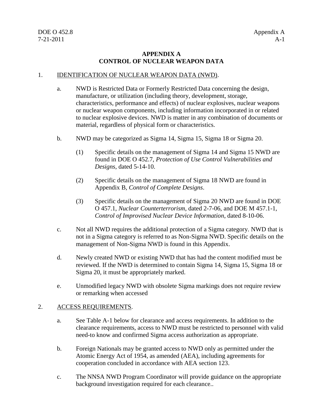## **APPENDIX A CONTROL OF NUCLEAR WEAPON DATA**

#### 1. IDENTIFICATION OF NUCLEAR WEAPON DATA (NWD).

- a. NWD is Restricted Data or Formerly Restricted Data concerning the design, manufacture, or utilization (including theory, development, storage, characteristics, performance and effects) of nuclear explosives, nuclear weapons or nuclear weapon components, including information incorporated in or related to nuclear explosive devices. NWD is matter in any combination of documents or material, regardless of physical form or characteristics.
- b. NWD may be categorized as Sigma 14, Sigma 15, Sigma 18 or Sigma 20.
	- (1) Specific details on the management of Sigma 14 and Sigma 15 NWD are found in DOE O 452.7, *Protection of Use Control Vulnerabilities and Designs*, dated 5-14-10.
	- (2) Specific details on the management of Sigma 18 NWD are found in Appendix B, *Control of Complete Designs*.
	- (3) Specific details on the management of Sigma 20 NWD are found in DOE O 457.1, *Nuclear Counterterrorism*, dated 2-7-06, and DOE M 457.1-1, *Control of Improvised Nuclear Device Information*, dated 8-10-06.
- c. Not all NWD requires the additional protection of a Sigma category. NWD that is not in a Sigma category is referred to as Non-Sigma NWD. Specific details on the management of Non-Sigma NWD is found in this Appendix.
- d. Newly created NWD or existing NWD that has had the content modified must be reviewed. If the NWD is determined to contain Sigma 14, Sigma 15, Sigma 18 or Sigma 20, it must be appropriately marked.
- e. Unmodified legacy NWD with obsolete Sigma markings does not require review or remarking when accessed

#### 2. ACCESS REQUIREMENTS.

- a. See Table A-1 below for clearance and access requirements. In addition to the clearance requirements, access to NWD must be restricted to personnel with valid need-to know and confirmed Sigma access authorization as appropriate.
- b. Foreign Nationals may be granted access to NWD only as permitted under the Atomic Energy Act of 1954, as amended (AEA), including agreements for cooperation concluded in accordance with AEA section 123.
- c. The NNSA NWD Program Coordinator will provide guidance on the appropriate background investigation required for each clearance..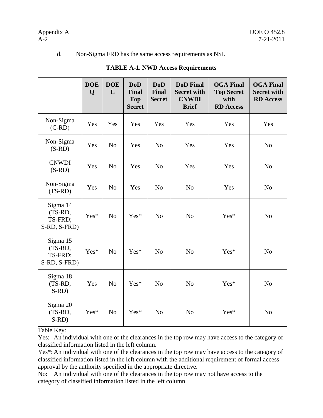#### d. Non-Sigma FRD has the same access requirements as NSI.

|                                                | <b>DOE</b><br>Q | <b>DOE</b><br>L | <b>DoD</b><br><b>Final</b><br><b>Top</b><br><b>Secret</b> | <b>DoD</b><br><b>Final</b><br><b>Secret</b> | <b>DoD</b> Final<br><b>Secret with</b><br><b>CNWDI</b><br><b>Brief</b> | <b>OGA Final</b><br><b>Top Secret</b><br>with<br><b>RD</b> Access | <b>OGA Final</b><br><b>Secret with</b><br><b>RD</b> Access |
|------------------------------------------------|-----------------|-----------------|-----------------------------------------------------------|---------------------------------------------|------------------------------------------------------------------------|-------------------------------------------------------------------|------------------------------------------------------------|
| Non-Sigma<br>$(C-RD)$                          | Yes             | Yes             | Yes                                                       | Yes                                         | Yes                                                                    | Yes                                                               | Yes                                                        |
| Non-Sigma<br>$(S-RD)$                          | Yes             | N <sub>o</sub>  | Yes                                                       | N <sub>o</sub>                              | Yes                                                                    | Yes                                                               | N <sub>o</sub>                                             |
| <b>CNWDI</b><br>$(S-RD)$                       | Yes             | No              | Yes                                                       | N <sub>o</sub>                              | Yes                                                                    | Yes                                                               | N <sub>o</sub>                                             |
| Non-Sigma<br>$(TS-RD)$                         | Yes             | N <sub>o</sub>  | Yes                                                       | N <sub>o</sub>                              | N <sub>o</sub>                                                         | Yes                                                               | N <sub>o</sub>                                             |
| Sigma 14<br>(TS-RD,<br>TS-FRD;<br>S-RD, S-FRD) | Yes*            | N <sub>o</sub>  | Yes*                                                      | N <sub>o</sub>                              | N <sub>o</sub>                                                         | Yes*                                                              | N <sub>o</sub>                                             |
| Sigma 15<br>(TS-RD,<br>TS-FRD;<br>S-RD, S-FRD) | Yes*            | N <sub>o</sub>  | Yes*                                                      | N <sub>o</sub>                              | N <sub>o</sub>                                                         | Yes*                                                              | N <sub>o</sub>                                             |
| Sigma 18<br>(TS-RD,<br>$S-RD$                  | Yes             | N <sub>o</sub>  | Yes*                                                      | N <sub>o</sub>                              | N <sub>o</sub>                                                         | Yes*                                                              | N <sub>o</sub>                                             |
| Sigma 20<br>(TS-RD,<br>$S-RD$                  | Yes*            | N <sub>o</sub>  | $Yes*$                                                    | N <sub>o</sub>                              | N <sub>o</sub>                                                         | Yes*                                                              | N <sub>o</sub>                                             |

## **TABLE A-1. NWD Access Requirements**

Table Key:

Yes: An individual with one of the clearances in the top row may have access to the category of classified information listed in the left column.

Yes\*: An individual with one of the clearances in the top row may have access to the category of classified information listed in the left column with the additional requirement of formal access approval by the authority specified in the appropriate directive.

No: An individual with one of the clearances in the top row may not have access to the category of classified information listed in the left column.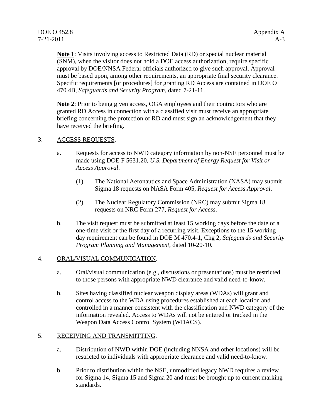**Note 1**: Visits involving access to Restricted Data (RD) or special nuclear material (SNM), when the visitor does not hold a DOE access authorization, require specific approval by DOE/NNSA Federal officials authorized to give such approval. Approval must be based upon, among other requirements, an appropriate final security clearance. Specific requirements [or procedures] for granting RD Access are contained in DOE O 470.4B, *Safeguards and Security Program,* dated 7-21-11.

**Note 2**: Prior to being given access, OGA employees and their contractors who are granted RD Access in connection with a classified visit must receive an appropriate briefing concerning the protection of RD and must sign an acknowledgement that they have received the briefing.

## 3. ACCESS REQUESTS.

- a. Requests for access to NWD category information by non-NSE personnel must be made using DOE F 5631.20, *U.S. Department of Energy Request for Visit or Access Approval*.
	- (1) The National Aeronautics and Space Administration (NASA) may submit Sigma 18 requests on NASA Form 405, *Request for Access Approval*.
	- (2) The Nuclear Regulatory Commission (NRC) may submit Sigma 18 requests on NRC Form 277, *Request for Access*.
- b. The visit request must be submitted at least 15 working days before the date of a one-time visit or the first day of a recurring visit. Exceptions to the 15 working day requirement can be found in DOE M 470.4-1, Chg 2, *Safeguards and Security Program Planning and Management*, dated 10-20-10.

## 4. ORAL/VISUAL COMMUNICATION.

- a. Oral/visual communication (e.g., discussions or presentations) must be restricted to those persons with appropriate NWD clearance and valid need-to-know.
- b. Sites having classified nuclear weapon display areas (WDAs) will grant and control access to the WDA using procedures established at each location and controlled in a manner consistent with the classification and NWD category of the information revealed. Access to WDAs will not be entered or tracked in the Weapon Data Access Control System (WDACS).

## 5. RECEIVING AND TRANSMITTING.

- a. Distribution of NWD within DOE (including NNSA and other locations) will be restricted to individuals with appropriate clearance and valid need-to-know.
- b. Prior to distribution within the NSE, unmodified legacy NWD requires a review for Sigma 14, Sigma 15 and Sigma 20 and must be brought up to current marking standards.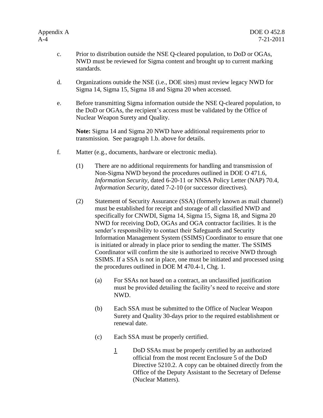- c. Prior to distribution outside the NSE Q-cleared population, to DoD or OGAs, NWD must be reviewed for Sigma content and brought up to current marking standards.
- d. Organizations outside the NSE (i.e., DOE sites) must review legacy NWD for Sigma 14, Sigma 15, Sigma 18 and Sigma 20 when accessed.
- e. Before transmitting Sigma information outside the NSE Q-cleared population, to the DoD or OGAs, the recipient's access must be validated by the Office of Nuclear Weapon Surety and Quality.

**Note:** Sigma 14 and Sigma 20 NWD have additional requirements prior to transmission. See paragraph 1.b. above for details.

- f. Matter (e.g., documents, hardware or electronic media).
	- (1) There are no additional requirements for handling and transmission of Non-Sigma NWD beyond the procedures outlined in DOE O 471.6, *Information Security,* dated 6-20-11 or NNSA Policy Letter (NAP) 70.4, *Information Security*, dated 7-2-10 (or successor directives).
	- (2) Statement of Security Assurance (SSA) (formerly known as mail channel) must be established for receipt and storage of all classified NWD and specifically for CNWDI, Sigma 14, Sigma 15, Sigma 18, and Sigma 20 NWD for receiving DoD, OGAs and OGA contractor facilities. It is the sender's responsibility to contact their Safeguards and Security Information Management System (SSIMS) Coordinator to ensure that one is initiated or already in place prior to sending the matter. The SSIMS Coordinator will confirm the site is authorized to receive NWD through SSIMS. If a SSA is not in place, one must be initiated and processed using the procedures outlined in DOE M 470.4-1, Chg. 1.
		- (a) For SSAs not based on a contract, an unclassified justification must be provided detailing the facility's need to receive and store NWD.
		- (b) Each SSA must be submitted to the Office of Nuclear Weapon Surety and Quality 30-days prior to the required establishment or renewal date.
		- (c) Each SSA must be properly certified.
			- 1 DoD SSAs must be properly certified by an authorized official from the most recent Enclosure 5 of the DoD Directive 5210.2. A copy can be obtained directly from the Office of the Deputy Assistant to the Secretary of Defense (Nuclear Matters).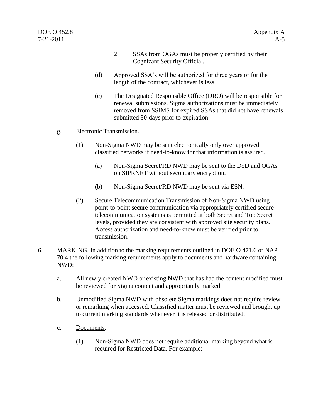- 2 SSAs from OGAs must be properly certified by their Cognizant Security Official.
- (d) Approved SSA's will be authorized for three years or for the length of the contract, whichever is less.
- (e) The Designated Responsible Office (DRO) will be responsible for renewal submissions. Sigma authorizations must be immediately removed from SSIMS for expired SSAs that did not have renewals submitted 30-days prior to expiration.
- g. Electronic Transmission.
	- (1) Non-Sigma NWD may be sent electronically only over approved classified networks if need-to-know for that information is assured.
		- (a) Non-Sigma Secret/RD NWD may be sent to the DoD and OGAs on SIPRNET without secondary encryption.
		- (b) Non-Sigma Secret/RD NWD may be sent via ESN.
	- (2) Secure Telecommunication Transmission of Non-Sigma NWD using point-to-point secure communication via appropriately certified secure telecommunication systems is permitted at both Secret and Top Secret levels, provided they are consistent with approved site security plans. Access authorization and need-to-know must be verified prior to transmission.
- 6. MARKING. In addition to the marking requirements outlined in DOE O 471.6 or NAP 70.4 the following marking requirements apply to documents and hardware containing NWD:
	- a. All newly created NWD or existing NWD that has had the content modified must be reviewed for Sigma content and appropriately marked.
	- b. Unmodified Sigma NWD with obsolete Sigma markings does not require review or remarking when accessed. Classified matter must be reviewed and brought up to current marking standards whenever it is released or distributed.
	- c. Documents.
		- (1) Non-Sigma NWD does not require additional marking beyond what is required for Restricted Data. For example: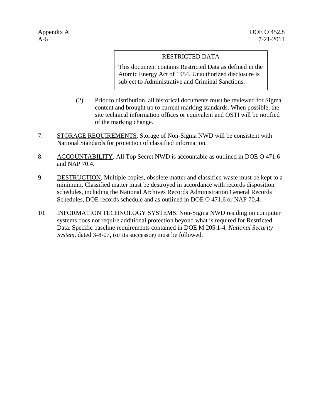## RESTRICTED DATA

This document contains Restricted Data as defined in the Atomic Energy Act of 1954. Unauthorized disclosure is subject to Administrative and Criminal Sanctions.

- (2) Prior to distribution, all historical documents must be reviewed for Sigma content and brought up to current marking standards. When possible, the site technical information offices or equivalent and OSTI will be notified of the marking change.
- 7. STORAGE REQUIREMENTS. Storage of Non-Sigma NWD will be consistent with National Standards for protection of classified information.
- 8. ACCOUNTABILITY. All Top Secret NWD is accountable as outlined in DOE O 471.6 and NAP 70.4.
- 9. DESTRUCTION. Multiple copies, obsolete matter and classified waste must be kept to a minimum. Classified matter must be destroyed in accordance with records disposition schedules, including the National Archives Records Administration General Records Schedules, DOE records schedule and as outlined in DOE O 471.6 or NAP 70.4.
- 10. INFORMATION TECHNOLOGY SYSTEMS. Non-Sigma NWD residing on computer systems does not require additional protection beyond what is required for Restricted Data. Specific baseline requirements contained in DOE M 205.1-4, *National Security System,* dated 3-8-07, (or its successor) must be followed.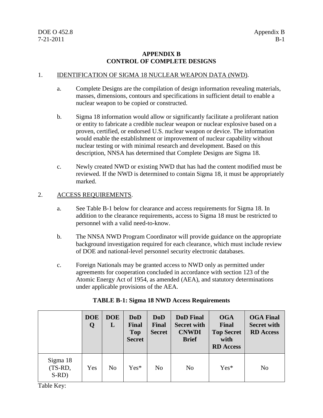## **APPENDIX B CONTROL OF COMPLETE DESIGNS**

#### 1. IDENTIFICATION OF SIGMA 18 NUCLEAR WEAPON DATA (NWD).

- a. Complete Designs are the compilation of design information revealing materials, masses, dimensions, contours and specifications in sufficient detail to enable a nuclear weapon to be copied or constructed.
- b. Sigma 18 information would allow or significantly facilitate a proliferant nation or entity to fabricate a credible nuclear weapon or nuclear explosive based on a proven, certified, or endorsed U.S. nuclear weapon or device. The information would enable the establishment or improvement of nuclear capability without nuclear testing or with minimal research and development. Based on this description, NNSA has determined that Complete Designs are Sigma 18.
- c. Newly created NWD or existing NWD that has had the content modified must be reviewed. If the NWD is determined to contain Sigma 18, it must be appropriately marked.

#### 2. ACCESS REQUIREMENTS.

- a. See Table B-1 below for clearance and access requirements for Sigma 18. In addition to the clearance requirements, access to Sigma 18 must be restricted to personnel with a valid need-to-know.
- b. The NNSA NWD Program Coordinator will provide guidance on the appropriate background investigation required for each clearance, which must include review of DOE and national-level personnel security electronic databases.
- c. Foreign Nationals may be granted access to NWD only as permitted under agreements for cooperation concluded in accordance with section 123 of the Atomic Energy Act of 1954, as amended (AEA), and statutory determinations under applicable provisions of the AEA.

|                                | <b>DOE</b><br>Q | <b>DOE</b><br>L | DoD<br>Final<br><b>Top</b><br><b>Secret</b> | <b>DoD</b><br><b>Final</b><br><b>Secret</b> | <b>DoD</b> Final<br><b>Secret with</b><br><b>CNWDI</b><br><b>Brief</b> | <b>OGA</b><br>Final<br><b>Top Secret</b><br>with<br><b>RD</b> Access | <b>OGA Final</b><br><b>Secret with</b><br><b>RD</b> Access |
|--------------------------------|-----------------|-----------------|---------------------------------------------|---------------------------------------------|------------------------------------------------------------------------|----------------------------------------------------------------------|------------------------------------------------------------|
| Sigma 18<br>(TS-RD,<br>$S-RD)$ | Yes             | N <sub>0</sub>  | $Yes*$                                      | N <sub>o</sub>                              | N <sub>o</sub>                                                         | $Yes*$                                                               | N <sub>o</sub>                                             |

#### **TABLE B-1: Sigma 18 NWD Access Requirements**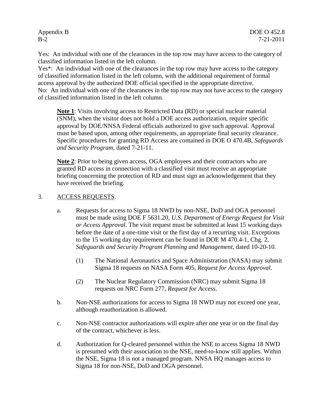Yes: An individual with one of the clearances in the top row may have access to the category of classified information listed in the left column.

Yes\*: An individual with one of the clearances in the top row may have access to the category of classified information listed in the left column, with the additional requirement of formal access approval by the authorized DOE official specified in the appropriate directive. No: An individual with one of the clearances in the top row may not have access to the category of classified information listed in the left column.

**Note 1**: Visits involving access to Restricted Data (RD) or special nuclear material (SNM), when the visitor does not hold a DOE access authorization, require specific approval by DOE/NNSA Federal officials authorized to give such approval. Approval must be based upon, among other requirements, an appropriate final security clearance. Specific procedures for granting RD Access are contained in DOE O 470.4B, *Safeguards and Security Program,* dated 7-21-11.

**Note 2**: Prior to being given access, OGA employees and their contractors who are granted RD access in connection with a classified visit must receive an appropriate briefing concerning the protection of RD and must sign an acknowledgement that they have received the briefing.

#### 3. ACCESS REQUESTS.

- a. Requests for access to Sigma 18 NWD by non-NSE, DoD and OGA personnel must be made using DOE F 5631.20, *U.S. Department of Energy Request for Visit or Access Approval*. The visit request must be submitted at least 15 working days before the date of a one-time visit or the first day of a recurring visit. Exceptions to the 15 working day requirement can be found in DOE M 470.4-1, Chg. 2, *Safeguards and Security Program Planning and Management*, dated 10-20-10.
	- (1) The National Aeronautics and Space Administration (NASA) may submit Sigma 18 requests on NASA Form 405, *Request for Access Approval*.
	- (2) The Nuclear Regulatory Commission (NRC) may submit Sigma 18 requests on NRC Form 277, *Request for Access*.
- b. Non-NSE authorizations for access to Sigma 18 NWD may not exceed one year, although reauthorization is allowed.
- c. Non-NSE contractor authorizations will expire after one year or on the final day of the contract, whichever is less.
- d. Authorization for Q-cleared personnel within the NSE to access Sigma 18 NWD is presumed with their association to the NSE, need-to-know still applies. Within the NSE, Sigma 18 is not a managed program. NNSA HQ manages access to Sigma 18 for non-NSE, DoD and OGA personnel.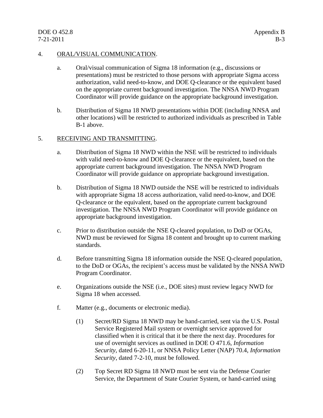## DOE O 452.8 Appendix B 7-21-2011 B-3

#### 4. ORAL/VISUAL COMMUNICATION.

- a. Oral/visual communication of Sigma 18 information (e.g., discussions or presentations) must be restricted to those persons with appropriate Sigma access authorization, valid need-to-know, and DOE Q-clearance or the equivalent based on the appropriate current background investigation. The NNSA NWD Program Coordinator will provide guidance on the appropriate background investigation.
- b. Distribution of Sigma 18 NWD presentations within DOE (including NNSA and other locations) will be restricted to authorized individuals as prescribed in Table B-1 above.

## 5. RECEIVING AND TRANSMITTING.

- a. Distribution of Sigma 18 NWD within the NSE will be restricted to individuals with valid need-to-know and DOE Q-clearance or the equivalent, based on the appropriate current background investigation. The NNSA NWD Program Coordinator will provide guidance on appropriate background investigation.
- b. Distribution of Sigma 18 NWD outside the NSE will be restricted to individuals with appropriate Sigma 18 access authorization, valid need-to-know, and DOE Q-clearance or the equivalent, based on the appropriate current background investigation. The NNSA NWD Program Coordinator will provide guidance on appropriate background investigation.
- c. Prior to distribution outside the NSE Q-cleared population, to DoD or OGAs, NWD must be reviewed for Sigma 18 content and brought up to current marking standards.
- d. Before transmitting Sigma 18 information outside the NSE Q-cleared population, to the DoD or OGAs, the recipient's access must be validated by the NNSA NWD Program Coordinator.
- e. Organizations outside the NSE (i.e., DOE sites) must review legacy NWD for Sigma 18 when accessed.
- f. Matter (e.g., documents or electronic media).
	- (1) Secret/RD Sigma 18 NWD may be hand-carried, sent via the U.S. Postal Service Registered Mail system or overnight service approved for classified when it is critical that it be there the next day. Procedures for use of overnight services as outlined in DOE O 471.6, *Information Security,* dated 6-20-11, or NNSA Policy Letter (NAP) 70.4, *Information Security*, dated 7-2-10, must be followed.
	- (2) Top Secret RD Sigma 18 NWD must be sent via the Defense Courier Service, the Department of State Courier System, or hand-carried using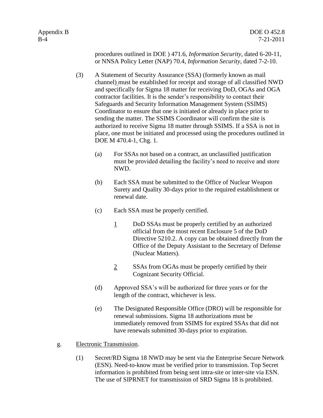procedures outlined in DOE ) 471.6, *Information Security,* dated 6-20-11, or NNSA Policy Letter (NAP) 70.4, *Information Security*, dated 7-2-10.

- (3) A Statement of Security Assurance (SSA) (formerly known as mail channel) must be established for receipt and storage of all classified NWD and specifically for Sigma 18 matter for receiving DoD, OGAs and OGA contractor facilities. It is the sender's responsibility to contact their Safeguards and Security Information Management System (SSIMS) Coordinator to ensure that one is initiated or already in place prior to sending the matter. The SSIMS Coordinator will confirm the site is authorized to receive Sigma 18 matter through SSIMS. If a SSA is not in place, one must be initiated and processed using the procedures outlined in DOE M 470.4-1, Chg. 1.
	- (a) For SSAs not based on a contract, an unclassified justification must be provided detailing the facility's need to receive and store NWD.
	- (b) Each SSA must be submitted to the Office of Nuclear Weapon Surety and Quality 30-days prior to the required establishment or renewal date.
	- (c) Each SSA must be properly certified.
		- 1 DoD SSAs must be properly certified by an authorized official from the most recent Enclosure 5 of the DoD Directive 5210.2. A copy can be obtained directly from the Office of the Deputy Assistant to the Secretary of Defense (Nuclear Matters).
		- 2 SSAs from OGAs must be properly certified by their Cognizant Security Official.
	- (d) Approved SSA's will be authorized for three years or for the length of the contract, whichever is less.
	- (e) The Designated Responsible Office (DRO) will be responsible for renewal submissions. Sigma 18 authorizations must be immediately removed from SSIMS for expired SSAs that did not have renewals submitted 30-days prior to expiration.
- g. Electronic Transmission.
	- (1) Secret/RD Sigma 18 NWD may be sent via the Enterprise Secure Network (ESN). Need-to-know must be verified prior to transmission. Top Secret information is prohibited from being sent intra-site or inter-site via ESN. The use of SIPRNET for transmission of SRD Sigma 18 is prohibited.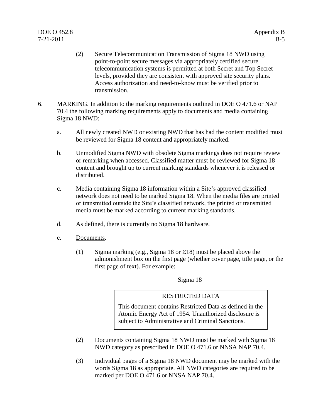- (2) Secure Telecommunication Transmission of Sigma 18 NWD using point-to-point secure messages via appropriately certified secure telecommunication systems is permitted at both Secret and Top Secret levels, provided they are consistent with approved site security plans. Access authorization and need-to-know must be verified prior to transmission.
- 6. MARKING. In addition to the marking requirements outlined in DOE O 471.6 or NAP 70.4 the following marking requirements apply to documents and media containing Sigma 18 NWD:
	- a. All newly created NWD or existing NWD that has had the content modified must be reviewed for Sigma 18 content and appropriately marked.
	- b. Unmodified Sigma NWD with obsolete Sigma markings does not require review or remarking when accessed. Classified matter must be reviewed for Sigma 18 content and brought up to current marking standards whenever it is released or distributed.
	- c. Media containing Sigma 18 information within a Site's approved classified network does not need to be marked Sigma 18. When the media files are printed or transmitted outside the Site's classified network, the printed or transmitted media must be marked according to current marking standards.
	- d. As defined, there is currently no Sigma 18 hardware.
	- e. Documents.
		- (1) Sigma marking (e.g., Sigma 18 or  $\Sigma$ 18) must be placed above the admonishment box on the first page (whether cover page, title page, or the first page of text). For example:

Sigma 18

#### RESTRICTED DATA

This document contains Restricted Data as defined in the Atomic Energy Act of 1954. Unauthorized disclosure is subject to Administrative and Criminal Sanctions.

- (2) Documents containing Sigma 18 NWD must be marked with Sigma 18 NWD category as prescribed in DOE O 471.6 or NNSA NAP 70.4.
- (3) Individual pages of a Sigma 18 NWD document may be marked with the words Sigma 18 as appropriate. All NWD categories are required to be marked per DOE O 471.6 or NNSA NAP 70.4.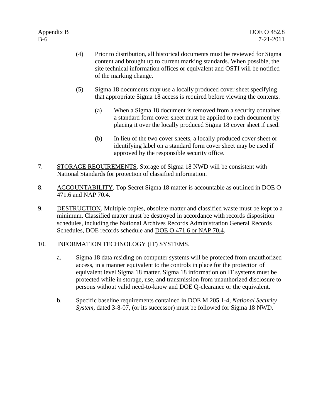- (4) Prior to distribution, all historical documents must be reviewed for Sigma content and brought up to current marking standards. When possible, the site technical information offices or equivalent and OSTI will be notified of the marking change.
- (5) Sigma 18 documents may use a locally produced cover sheet specifying that appropriate Sigma 18 access is required before viewing the contents.
	- (a) When a Sigma 18 document is removed from a security container, a standard form cover sheet must be applied to each document by placing it over the locally produced Sigma 18 cover sheet if used.
	- (b) In lieu of the two cover sheets, a locally produced cover sheet or identifying label on a standard form cover sheet may be used if approved by the responsible security office.
- 7. STORAGE REQUIREMENTS. Storage of Sigma 18 NWD will be consistent with National Standards for protection of classified information.
- 8. ACCOUNTABILITY. Top Secret Sigma 18 matter is accountable as outlined in DOE O 471.6 and NAP 70.4.
- 9. DESTRUCTION. Multiple copies, obsolete matter and classified waste must be kept to a minimum. Classified matter must be destroyed in accordance with records disposition schedules, including the National Archives Records Administration General Records Schedules, DOE records schedule and DOE O 471.6 or NAP 70.4.

## 10. INFORMATION TECHNOLOGY (IT) SYSTEMS.

- a. Sigma 18 data residing on computer systems will be protected from unauthorized access, in a manner equivalent to the controls in place for the protection of equivalent level Sigma 18 matter. Sigma 18 information on IT systems must be protected while in storage, use, and transmission from unauthorized disclosure to persons without valid need-to-know and DOE Q-clearance or the equivalent.
- b. Specific baseline requirements contained in DOE M 205.1-4, *National Security System,* dated 3-8-07, (or its successor) must be followed for Sigma 18 NWD.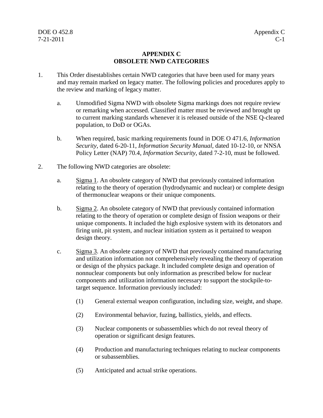## **APPENDIX C OBSOLETE NWD CATEGORIES**

- 1. This Order disestablishes certain NWD categories that have been used for many years and may remain marked on legacy matter. The following policies and procedures apply to the review and marking of legacy matter.
	- a. Unmodified Sigma NWD with obsolete Sigma markings does not require review or remarking when accessed. Classified matter must be reviewed and brought up to current marking standards whenever it is released outside of the NSE Q-cleared population, to DoD or OGAs.
	- b. When required, basic marking requirements found in DOE O 471.6, *Information Security*, dated 6-20-11, *Information Security Manual,* dated 10-12-10, or NNSA Policy Letter (NAP) 70.4, *Information Security*, dated 7-2-10, must be followed.
- 2. The following NWD categories are obsolete:
	- a. Sigma 1. An obsolete category of NWD that previously contained information relating to the theory of operation (hydrodynamic and nuclear) or complete design of thermonuclear weapons or their unique components.
	- b. Sigma 2. An obsolete category of NWD that previously contained information relating to the theory of operation or complete design of fission weapons or their unique components. It included the high explosive system with its detonators and firing unit, pit system, and nuclear initiation system as it pertained to weapon design theory.
	- c. Sigma 3. An obsolete category of NWD that previously contained manufacturing and utilization information not comprehensively revealing the theory of operation or design of the physics package. It included complete design and operation of nonnuclear components but only information as prescribed below for nuclear components and utilization information necessary to support the stockpile-totarget sequence. Information previously included:
		- (1) General external weapon configuration, including size, weight, and shape.
		- (2) Environmental behavior, fuzing, ballistics, yields, and effects.
		- (3) Nuclear components or subassemblies which do not reveal theory of operation or significant design features.
		- (4) Production and manufacturing techniques relating to nuclear components or subassemblies.
		- (5) Anticipated and actual strike operations.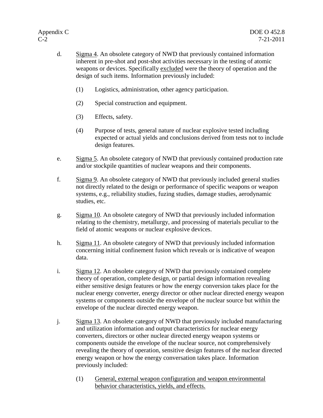- d. Sigma 4. An obsolete category of NWD that previously contained information inherent in pre-shot and post-shot activities necessary in the testing of atomic weapons or devices. Specifically excluded were the theory of operation and the design of such items. Information previously included:
	- (1) Logistics, administration, other agency participation.
	- (2) Special construction and equipment.
	- (3) Effects, safety.
	- (4) Purpose of tests, general nature of nuclear explosive tested including expected or actual yields and conclusions derived from tests not to include design features.
- e. Sigma 5. An obsolete category of NWD that previously contained production rate and/or stockpile quantities of nuclear weapons and their components.
- f. Sigma 9. An obsolete category of NWD that previously included general studies not directly related to the design or performance of specific weapons or weapon systems, e.g., reliability studies, fuzing studies, damage studies, aerodynamic studies, etc.
- g. Sigma 10. An obsolete category of NWD that previously included information relating to the chemistry, metallurgy, and processing of materials peculiar to the field of atomic weapons or nuclear explosive devices.
- h. Sigma 11. An obsolete category of NWD that previously included information concerning initial confinement fusion which reveals or is indicative of weapon data.
- i. Sigma 12. An obsolete category of NWD that previously contained complete theory of operation, complete design, or partial design information revealing either sensitive design features or how the energy conversion takes place for the nuclear energy converter, energy director or other nuclear directed energy weapon systems or components outside the envelope of the nuclear source but within the envelope of the nuclear directed energy weapon.
- j. Sigma 13. An obsolete category of NWD that previously included manufacturing and utilization information and output characteristics for nuclear energy converters, directors or other nuclear directed energy weapon systems or components outside the envelope of the nuclear source, not comprehensively revealing the theory of operation, sensitive design features of the nuclear directed energy weapon or how the energy conversation takes place. Information previously included:
	- (1) General, external weapon configuration and weapon environmental behavior characteristics, yields, and effects.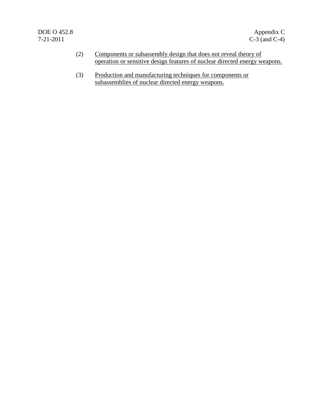- (2) Components or subassembly design that does not reveal theory of operation or sensitive design features of nuclear directed energy weapons.
- (3) Production and manufacturing techniques for components or subassemblies of nuclear directed energy weapons.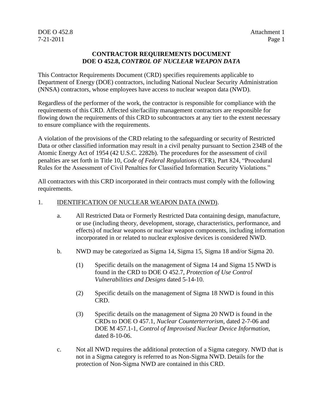## DOE O 452.8 Attachment 1 7-21-2011 Page 1

#### **CONTRACTOR REQUIREMENTS DOCUMENT DOE O 452.8,** *CONTROL OF NUCLEAR WEAPON DATA*

This Contractor Requirements Document (CRD) specifies requirements applicable to Department of Energy (DOE) contractors, including National Nuclear Security Administration (NNSA) contractors, whose employees have access to nuclear weapon data (NWD).

Regardless of the performer of the work, the contractor is responsible for compliance with the requirements of this CRD. Affected site/facility management contractors are responsible for flowing down the requirements of this CRD to subcontractors at any tier to the extent necessary to ensure compliance with the requirements.

A violation of the provisions of the CRD relating to the safeguarding or security of Restricted Data or other classified information may result in a civil penalty pursuant to Section 234B of the Atomic Energy Act of 1954 (42 U.S.C. 2282b). The procedures for the assessment of civil penalties are set forth in Title 10, *Code of Federal Regulations* (CFR), Part 824, "Procedural Rules for the Assessment of Civil Penalties for Classified Information Security Violations."

All contractors with this CRD incorporated in their contracts must comply with the following requirements.

## 1. **IDENTIFICATION OF NUCLEAR WEAPON DATA (NWD).**

- a. All Restricted Data or Formerly Restricted Data containing design, manufacture, or use (including theory, development, storage, characteristics, performance, and effects) of nuclear weapons or nuclear weapon components, including information incorporated in or related to nuclear explosive devices is considered NWD.
- b. NWD may be categorized as Sigma 14, Sigma 15, Sigma 18 and/or Sigma 20.
	- (1) Specific details on the management of Sigma 14 and Sigma 15 NWD is found in the CRD to DOE O 452.7, *Protection of Use Control Vulnerabilities and Designs* dated 5-14-10.
	- (2) Specific details on the management of Sigma 18 NWD is found in this CRD.
	- (3) Specific details on the management of Sigma 20 NWD is found in the CRDs to DOE O 457.1, *Nuclear Counterterrorism*, dated 2-7-06 and DOE M 457.1-1, *Control of Improvised Nuclear Device Information*, dated 8-10-06.
- c. Not all NWD requires the additional protection of a Sigma category. NWD that is not in a Sigma category is referred to as Non-Sigma NWD. Details for the protection of Non-Sigma NWD are contained in this CRD.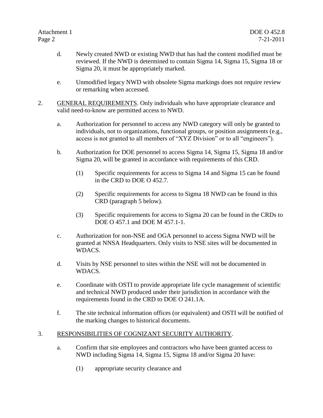- d. Newly created NWD or existing NWD that has had the content modified must be reviewed. If the NWD is determined to contain Sigma 14, Sigma 15, Sigma 18 or Sigma 20, it must be appropriately marked.
- e. Unmodified legacy NWD with obsolete Sigma markings does not require review or remarking when accessed.
- 2. GENERAL REQUIREMENTS. Only individuals who have appropriate clearance and valid need-to-know are permitted access to NWD.
	- a. Authorization for personnel to access any NWD category will only be granted to individuals, not to organizations, functional groups, or position assignments (e.g., access is not granted to all members of "XYZ Division" or to all "engineers").
	- b. Authorization for DOE personnel to access Sigma 14, Sigma 15, Sigma 18 and/or Sigma 20, will be granted in accordance with requirements of this CRD.
		- (1) Specific requirements for access to Sigma 14 and Sigma 15 can be found in the CRD to DOE O 452.7.
		- (2) Specific requirements for access to Sigma 18 NWD can be found in this CRD (paragraph 5 below).
		- (3) Specific requirements for access to Sigma 20 can be found in the CRDs to DOE O 457.1 and DOE M 457.1-1.
	- c. Authorization for non-NSE and OGA personnel to access Sigma NWD will be granted at NNSA Headquarters. Only visits to NSE sites will be documented in WDACS.
	- d. Visits by NSE personnel to sites within the NSE will not be documented in WDACS.
	- e. Coordinate with OSTI to provide appropriate life cycle management of scientific and technical NWD produced under their jurisdiction in accordance with the requirements found in the CRD to DOE O 241.1A.
	- f. The site technical information offices (or equivalent) and OSTI will be notified of the marking changes to historical documents.

## 3. RESPONSIBILITIES OF COGNIZANT SECURITY AUTHORITY.

- a. Confirm that site employees and contractors who have been granted access to NWD including Sigma 14, Sigma 15, Sigma 18 and/or Sigma 20 have:
	- (1) appropriate security clearance and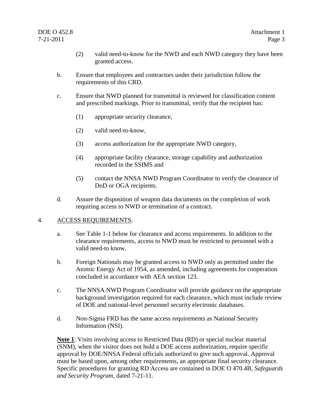## DOE O 452.8 Attachment 1

- (2) valid need-to-know for the NWD and each NWD category they have been granted access.
- b. Ensure that employees and contractors under their jurisdiction follow the requirements of this CRD.
- c. Ensure that NWD planned for transmittal is reviewed for classification content and prescribed markings. Prior to transmittal, verify that the recipient has:
	- (1) appropriate security clearance,
	- (2) valid need-to-know,
	- (3) access authorization for the appropriate NWD category,
	- (4) appropriate facility clearance, storage capability and authorization recorded in the SSIMS and
	- (5) contact the NNSA NWD Program Coordinator to verify the clearance of DoD or OGA recipients.
- d. Assure the disposition of weapon data documents on the completion of work requiring access to NWD or termination of a contract.

#### 4. ACCESS REQUIREMENTS.

- a. See Table 1-1 below for clearance and access requirements. In addition to the clearance requirements, access to NWD must be restricted to personnel with a valid need-to know.
- b. Foreign Nationals may be granted access to NWD only as permitted under the Atomic Energy Act of 1954, as amended, including agreements for cooperation concluded in accordance with AEA section 123.
- c. The NNSA NWD Program Coordinator will provide guidance on the appropriate background investigation required for each clearance, which must include review of DOE and national-level personnel security electronic databases.
- d. Non-Sigma FRD has the same access requirements as National Security Information (NSI).

**Note 1**: Visits involving access to Restricted Data (RD) or special nuclear material (SNM), when the visitor does not hold a DOE access authorization, require specific approval by DOE/NNSA Federal officials authorized to give such approval. Approval must be based upon, among other requirements, an appropriate final security clearance. Specific procedures for granting RD Access are contained in DOE O 470.4B, *Safeguards and Security Program,* dated 7-21-11.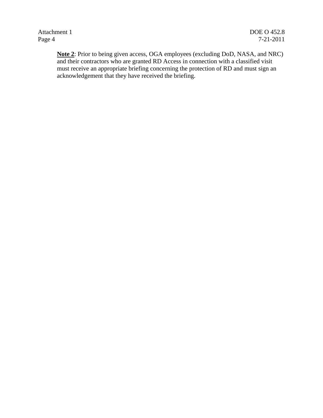Attachment 1 DOE O 452.8

**Note 2**: Prior to being given access, OGA employees (excluding DoD, NASA, and NRC) and their contractors who are granted RD Access in connection with a classified visit must receive an appropriate briefing concerning the protection of RD and must sign an acknowledgement that they have received the briefing.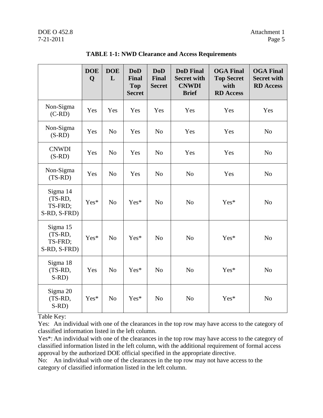## DOE O 452.8 Attachment 1 7-21-2011 Page 5

|                                                | <b>DOE</b><br>Q | <b>DOE</b><br>L | <b>DoD</b><br>Final<br><b>Top</b><br><b>Secret</b> | <b>DoD</b><br><b>Final</b><br><b>Secret</b> | <b>DoD</b> Final<br><b>Secret with</b><br><b>CNWDI</b><br><b>Brief</b> | <b>OGA Final</b><br><b>Top Secret</b><br>with<br><b>RD</b> Access | <b>OGA Final</b><br><b>Secret with</b><br><b>RD</b> Access |
|------------------------------------------------|-----------------|-----------------|----------------------------------------------------|---------------------------------------------|------------------------------------------------------------------------|-------------------------------------------------------------------|------------------------------------------------------------|
| Non-Sigma<br>$(C-RD)$                          | Yes             | Yes             | Yes                                                | Yes                                         | Yes                                                                    | Yes                                                               | Yes                                                        |
| Non-Sigma<br>$(S-RD)$                          | Yes             | N <sub>o</sub>  | Yes                                                | N <sub>o</sub>                              | Yes                                                                    | Yes                                                               | N <sub>o</sub>                                             |
| <b>CNWDI</b><br>$(S-RD)$                       | Yes             | N <sub>o</sub>  | Yes                                                | N <sub>o</sub>                              | Yes                                                                    | Yes                                                               | N <sub>o</sub>                                             |
| Non-Sigma<br>$(TS-RD)$                         | Yes             | N <sub>o</sub>  | Yes                                                | N <sub>o</sub>                              | N <sub>o</sub>                                                         | Yes                                                               | N <sub>o</sub>                                             |
| Sigma 14<br>(TS-RD,<br>TS-FRD;<br>S-RD, S-FRD) | Yes*            | N <sub>o</sub>  | Yes*                                               | N <sub>o</sub>                              | N <sub>o</sub>                                                         | Yes*                                                              | N <sub>o</sub>                                             |
| Sigma 15<br>(TS-RD,<br>TS-FRD;<br>S-RD, S-FRD) | Yes*            | N <sub>o</sub>  | Yes*                                               | N <sub>o</sub>                              | N <sub>o</sub>                                                         | Yes*                                                              | N <sub>o</sub>                                             |
| Sigma 18<br>(TS-RD,<br>$S-RD$                  | Yes             | N <sub>o</sub>  | Yes*                                               | N <sub>o</sub>                              | N <sub>o</sub>                                                         | Yes*                                                              | N <sub>o</sub>                                             |
| Sigma 20<br>(TS-RD,<br>$S-RD)$                 | Yes*            | N <sub>o</sub>  | Yes*                                               | N <sub>o</sub>                              | N <sub>o</sub>                                                         | Yes*                                                              | N <sub>o</sub>                                             |

## **TABLE 1-1: NWD Clearance and Access Requirements**

Table Key:

Yes: An individual with one of the clearances in the top row may have access to the category of classified information listed in the left column.

Yes\*: An individual with one of the clearances in the top row may have access to the category of classified information listed in the left column, with the additional requirement of formal access approval by the authorized DOE official specified in the appropriate directive.

No: An individual with one of the clearances in the top row may not have access to the category of classified information listed in the left column.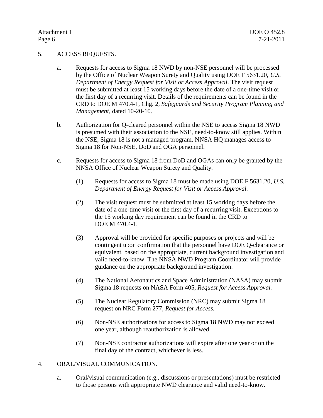#### 5. ACCESS REQUESTS.

- a. Requests for access to Sigma 18 NWD by non-NSE personnel will be processed by the Office of Nuclear Weapon Surety and Quality using DOE F 5631.20, *U.S. Department of Energy Request for Visit or Access Approval*. The visit request must be submitted at least 15 working days before the date of a one-time visit or the first day of a recurring visit. Details of the requirements can be found in the CRD to DOE M 470.4-1, Chg. 2, *Safeguards and Security Program Planning and Management*, dated 10-20-10.
- b. Authorization for Q-cleared personnel within the NSE to access Sigma 18 NWD is presumed with their association to the NSE, need-to-know still applies. Within the NSE, Sigma 18 is not a managed program. NNSA HQ manages access to Sigma 18 for Non-NSE, DoD and OGA personnel.
- c. Requests for access to Sigma 18 from DoD and OGAs can only be granted by the NNSA Office of Nuclear Weapon Surety and Quality.
	- (1) Requests for access to Sigma 18 must be made using DOE F 5631.20, *U.S. Department of Energy Request for Visit or Access Approval.*
	- (2) The visit request must be submitted at least 15 working days before the date of a one-time visit or the first day of a recurring visit. Exceptions to the 15 working day requirement can be found in the CRD to DOE M 470.4-1.
	- (3) Approval will be provided for specific purposes or projects and will be contingent upon confirmation that the personnel have DOE Q-clearance or equivalent, based on the appropriate, current background investigation and valid need-to-know. The NNSA NWD Program Coordinator will provide guidance on the appropriate background investigation.
	- (4) The National Aeronautics and Space Administration (NASA) may submit Sigma 18 requests on NASA Form 405, *Request for Access Approval.*
	- (5) The Nuclear Regulatory Commission (NRC) may submit Sigma 18 request on NRC Form 277, *Request for Access.*
	- (6) Non-NSE authorizations for access to Sigma 18 NWD may not exceed one year, although reauthorization is allowed.
	- (7) Non-NSE contractor authorizations will expire after one year or on the final day of the contract, whichever is less.

#### 4. ORAL/VISUAL COMMUNICATION.

a. Oral/visual communication (e.g., discussions or presentations) must be restricted to those persons with appropriate NWD clearance and valid need-to-know.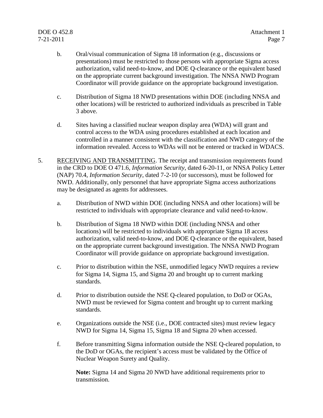## DOE O 452.8 Attachment 1 7-21-2011 Page 7

- b. Oral/visual communication of Sigma 18 information (e.g., discussions or presentations) must be restricted to those persons with appropriate Sigma access authorization, valid need-to-know, and DOE Q-clearance or the equivalent based on the appropriate current background investigation. The NNSA NWD Program Coordinator will provide guidance on the appropriate background investigation.
- c. Distribution of Sigma 18 NWD presentations within DOE (including NNSA and other locations) will be restricted to authorized individuals as prescribed in Table 3 above.
- d. Sites having a classified nuclear weapon display area (WDA) will grant and control access to the WDA using procedures established at each location and controlled in a manner consistent with the classification and NWD category of the information revealed. Access to WDAs will not be entered or tracked in WDACS.
- 5. RECEIVING AND TRANSMITTING. The receipt and transmission requirements found in the CRD to DOE O 471.6, *Information Security*, dated 6-20-11, or NNSA Policy Letter (NAP) 70.4, *Information Security*, dated 7-2-10 (or successors), must be followed for NWD. Additionally, only personnel that have appropriate Sigma access authorizations may be designated as agents for addressees.
	- a. Distribution of NWD within DOE (including NNSA and other locations) will be restricted to individuals with appropriate clearance and valid need-to-know.
	- b. Distribution of Sigma 18 NWD within DOE (including NNSA and other locations) will be restricted to individuals with appropriate Sigma 18 access authorization, valid need-to-know, and DOE Q-clearance or the equivalent, based on the appropriate current background investigation. The NNSA NWD Program Coordinator will provide guidance on appropriate background investigation.
	- c. Prior to distribution within the NSE, unmodified legacy NWD requires a review for Sigma 14, Sigma 15, and Sigma 20 and brought up to current marking standards.
	- d. Prior to distribution outside the NSE Q-cleared population, to DoD or OGAs, NWD must be reviewed for Sigma content and brought up to current marking standards.
	- e. Organizations outside the NSE (i.e., DOE contracted sites) must review legacy NWD for Sigma 14, Sigma 15, Sigma 18 and Sigma 20 when accessed.
	- f. Before transmitting Sigma information outside the NSE Q-cleared population, to the DoD or OGAs, the recipient's access must be validated by the Office of Nuclear Weapon Surety and Quality.

**Note:** Sigma 14 and Sigma 20 NWD have additional requirements prior to transmission.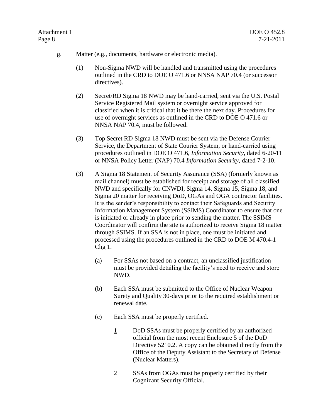- g. Matter (e.g., documents, hardware or electronic media).
	- (1) Non-Sigma NWD will be handled and transmitted using the procedures outlined in the CRD to DOE O 471.6 or NNSA NAP 70.4 (or successor directives).
	- (2) Secret/RD Sigma 18 NWD may be hand-carried, sent via the U.S. Postal Service Registered Mail system or overnight service approved for classified when it is critical that it be there the next day. Procedures for use of overnight services as outlined in the CRD to DOE O 471.6 or NNSA NAP 70.4, must be followed.
	- (3) Top Secret RD Sigma 18 NWD must be sent via the Defense Courier Service, the Department of State Courier System, or hand-carried using procedures outlined in DOE O 471.6, *Information Security,* dated 6-20-11 or NNSA Policy Letter (NAP) 70.4 *Information Security*, dated 7-2-10.
	- (3) A Sigma 18 Statement of Security Assurance (SSA) (formerly known as mail channel) must be established for receipt and storage of all classified NWD and specifically for CNWDI, Sigma 14, Sigma 15, Sigma 18, and Sigma 20 matter for receiving DoD, OGAs and OGA contractor facilities. It is the sender's responsibility to contact their Safeguards and Security Information Management System (SSIMS) Coordinator to ensure that one is initiated or already in place prior to sending the matter. The SSIMS Coordinator will confirm the site is authorized to receive Sigma 18 matter through SSIMS. If an SSA is not in place, one must be initiated and processed using the procedures outlined in the CRD to DOE M 470.4-1 Chg 1.
		- (a) For SSAs not based on a contract, an unclassified justification must be provided detailing the facility's need to receive and store NWD.
		- (b) Each SSA must be submitted to the Office of Nuclear Weapon Surety and Quality 30-days prior to the required establishment or renewal date.
		- (c) Each SSA must be properly certified.
			- 1 DoD SSAs must be properly certified by an authorized official from the most recent Enclosure 5 of the DoD Directive 5210.2. A copy can be obtained directly from the Office of the Deputy Assistant to the Secretary of Defense (Nuclear Matters).
			- 2 SSAs from OGAs must be properly certified by their Cognizant Security Official.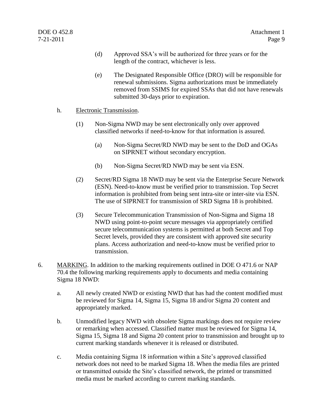- (d) Approved SSA's will be authorized for three years or for the length of the contract, whichever is less.
- (e) The Designated Responsible Office (DRO) will be responsible for renewal submissions. Sigma authorizations must be immediately removed from SSIMS for expired SSAs that did not have renewals submitted 30-days prior to expiration.
- h. Electronic Transmission.
	- (1) Non-Sigma NWD may be sent electronically only over approved classified networks if need-to-know for that information is assured.
		- (a) Non-Sigma Secret/RD NWD may be sent to the DoD and OGAs on SIPRNET without secondary encryption.
		- (b) Non-Sigma Secret/RD NWD may be sent via ESN.
	- (2) Secret/RD Sigma 18 NWD may be sent via the Enterprise Secure Network (ESN). Need-to-know must be verified prior to transmission. Top Secret information is prohibited from being sent intra-site or inter-site via ESN. The use of SIPRNET for transmission of SRD Sigma 18 is prohibited.
	- (3) Secure Telecommunication Transmission of Non-Sigma and Sigma 18 NWD using point-to-point secure messages via appropriately certified secure telecommunication systems is permitted at both Secret and Top Secret levels, provided they are consistent with approved site security plans. Access authorization and need-to-know must be verified prior to transmission.
- 6. MARKING. In addition to the marking requirements outlined in DOE O 471.6 or NAP 70.4 the following marking requirements apply to documents and media containing Sigma 18 NWD:
	- a. All newly created NWD or existing NWD that has had the content modified must be reviewed for Sigma 14, Sigma 15, Sigma 18 and/or Sigma 20 content and appropriately marked.
	- b. Unmodified legacy NWD with obsolete Sigma markings does not require review or remarking when accessed. Classified matter must be reviewed for Sigma 14, Sigma 15, Sigma 18 and Sigma 20 content prior to transmission and brought up to current marking standards whenever it is released or distributed.
	- c. Media containing Sigma 18 information within a Site's approved classified network does not need to be marked Sigma 18. When the media files are printed or transmitted outside the Site's classified network, the printed or transmitted media must be marked according to current marking standards.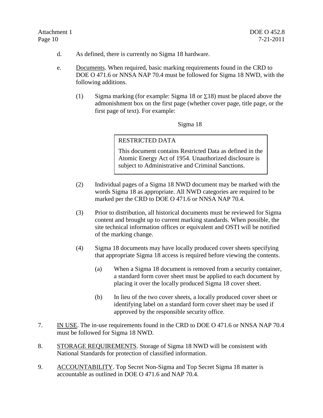- d. As defined, there is currently no Sigma 18 hardware.
- e. Documents. When required, basic marking requirements found in the CRD to DOE O 471.6 or NNSA NAP 70.4 must be followed for Sigma 18 NWD, with the following additions.
	- (1) Sigma marking (for example: Sigma 18 or  $\Sigma$ 18) must be placed above the admonishment box on the first page (whether cover page, title page, or the first page of text). For example:

Sigma 18

## RESTRICTED DATA

This document contains Restricted Data as defined in the Atomic Energy Act of 1954. Unauthorized disclosure is subject to Administrative and Criminal Sanctions.

- (2) Individual pages of a Sigma 18 NWD document may be marked with the words Sigma 18 as appropriate. All NWD categories are required to be marked per the CRD to DOE O 471.6 or NNSA NAP 70.4.
- (3) Prior to distribution, all historical documents must be reviewed for Sigma content and brought up to current marking standards. When possible, the site technical information offices or equivalent and OSTI will be notified of the marking change.
- (4) Sigma 18 documents may have locally produced cover sheets specifying that appropriate Sigma 18 access is required before viewing the contents.
	- (a) When a Sigma 18 document is removed from a security container, a standard form cover sheet must be applied to each document by placing it over the locally produced Sigma 18 cover sheet.
	- (b) In lieu of the two cover sheets, a locally produced cover sheet or identifying label on a standard form cover sheet may be used if approved by the responsible security office.
- 7. IN USE. The in-use requirements found in the CRD to DOE O 471.6 or NNSA NAP 70.4 must be followed for Sigma 18 NWD.
- 8. STORAGE REQUIREMENTS. Storage of Sigma 18 NWD will be consistent with National Standards for protection of classified information.
- 9. ACCOUNTABILITY. Top Secret Non-Sigma and Top Secret Sigma 18 matter is accountable as outlined in DOE O 471.6 and NAP 70.4.